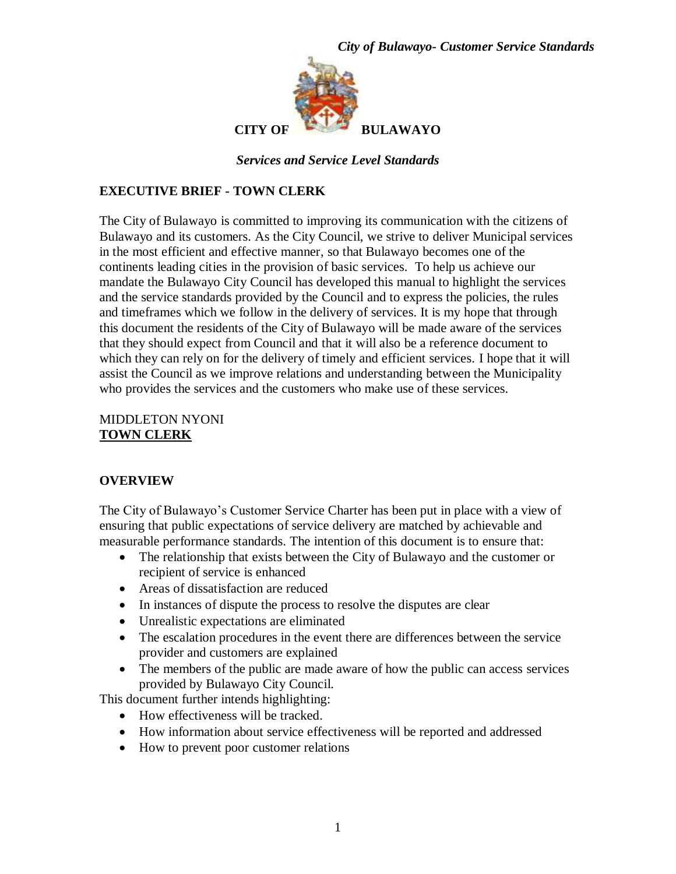



*Services and Service Level Standards*

### **EXECUTIVE BRIEF - TOWN CLERK**

The City of Bulawayo is committed to improving its communication with the citizens of Bulawayo and its customers. As the City Council, we strive to deliver Municipal services in the most efficient and effective manner, so that Bulawayo becomes one of the continents leading cities in the provision of basic services. To help us achieve our mandate the Bulawayo City Council has developed this manual to highlight the services and the service standards provided by the Council and to express the policies, the rules and timeframes which we follow in the delivery of services. It is my hope that through this document the residents of the City of Bulawayo will be made aware of the services that they should expect from Council and that it will also be a reference document to which they can rely on for the delivery of timely and efficient services. I hope that it will assist the Council as we improve relations and understanding between the Municipality who provides the services and the customers who make use of these services.

#### MIDDLETON NYONI **TOWN CLERK**

#### **OVERVIEW**

The City of Bulawayo's Customer Service Charter has been put in place with a view of ensuring that public expectations of service delivery are matched by achievable and measurable performance standards. The intention of this document is to ensure that:

- The relationship that exists between the City of Bulawayo and the customer or recipient of service is enhanced
- Areas of dissatisfaction are reduced
- In instances of dispute the process to resolve the disputes are clear
- Unrealistic expectations are eliminated
- The escalation procedures in the event there are differences between the service provider and customers are explained
- The members of the public are made aware of how the public can access services provided by Bulawayo City Council.

This document further intends highlighting:

- How effectiveness will be tracked.
- How information about service effectiveness will be reported and addressed
- How to prevent poor customer relations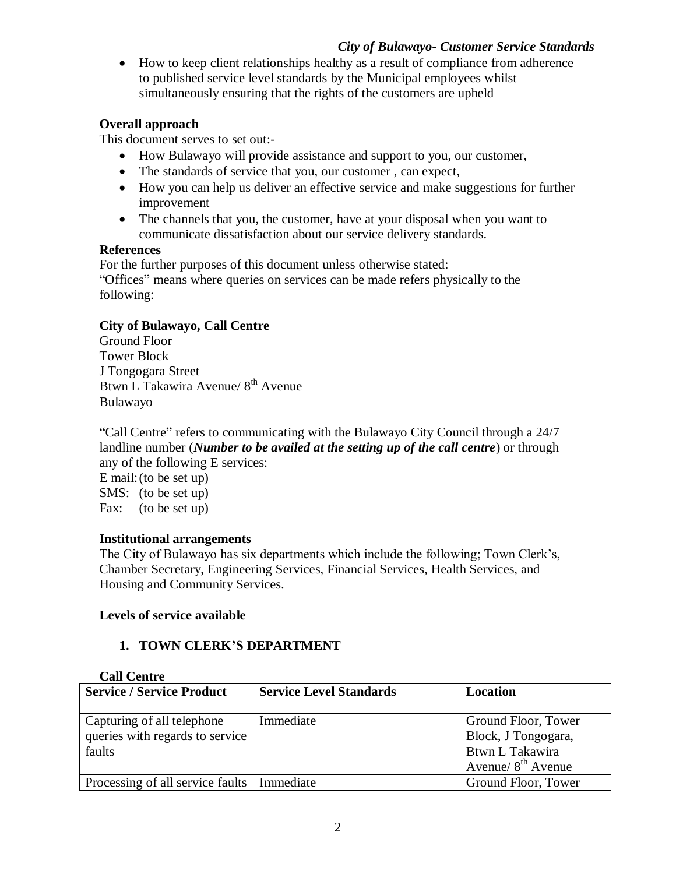• How to keep client relationships healthy as a result of compliance from adherence to published service level standards by the Municipal employees whilst simultaneously ensuring that the rights of the customers are upheld

## **Overall approach**

This document serves to set out:-

- How Bulawayo will provide assistance and support to you, our customer,
- The standards of service that you, our customer, can expect,
- How you can help us deliver an effective service and make suggestions for further improvement
- The channels that you, the customer, have at your disposal when you want to communicate dissatisfaction about our service delivery standards.

## **References**

For the further purposes of this document unless otherwise stated: "Offices" means where queries on services can be made refers physically to the following:

# **City of Bulawayo, Call Centre**

Ground Floor Tower Block J Tongogara Street Btwn L Takawira Avenue/ 8th Avenue Bulawayo

"Call Centre" refers to communicating with the Bulawayo City Council through a 24/7 landline number (*Number to be availed at the setting up of the call centre*) or through any of the following E services:

E mail:(to be set up) SMS: (to be set up) Fax: (to be set up)

# **Institutional arrangements**

The City of Bulawayo has six departments which include the following; Town Clerk's, Chamber Secretary, Engineering Services, Financial Services, Health Services, and Housing and Community Services.

# **Levels of service available**

# **1. TOWN CLERK'S DEPARTMENT**

# **Call Centre**

| <b>Service / Service Product</b>                                        | <b>Service Level Standards</b> | Location                                                                              |
|-------------------------------------------------------------------------|--------------------------------|---------------------------------------------------------------------------------------|
| Capturing of all telephone<br>queries with regards to service<br>faults | Immediate                      | Ground Floor, Tower<br>Block, J Tongogara,<br>Btwn L Takawira<br>Avenue/ $8th$ Avenue |
| Processing of all service faults   Immediate                            |                                | Ground Floor, Tower                                                                   |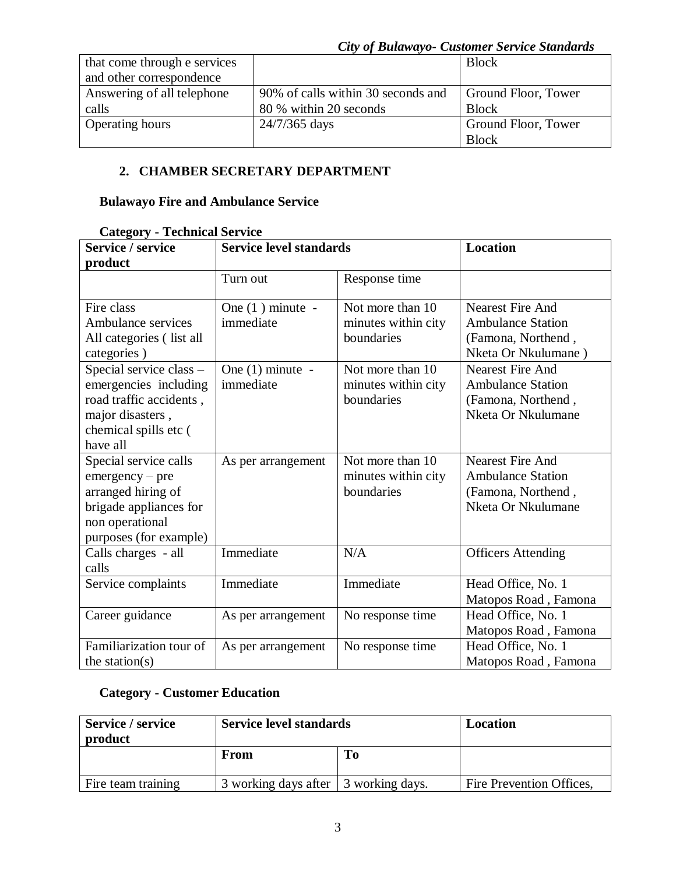| that come through e services |                                    | <b>Block</b>        |
|------------------------------|------------------------------------|---------------------|
| and other correspondence     |                                    |                     |
| Answering of all telephone   | 90% of calls within 30 seconds and | Ground Floor, Tower |
| calls                        | 80 % within 20 seconds             | <b>Block</b>        |
| <b>Operating hours</b>       | 24/7/365 days                      | Ground Floor, Tower |
|                              |                                    | <b>Block</b>        |

## **2. CHAMBER SECRETARY DEPARTMENT**

### **Bulawayo Fire and Ambulance Service**

| Category - Technical Scrylet<br>Service / service                                                                                       | <b>Location</b><br><b>Service level standards</b> |                                                       |                                                                                                 |
|-----------------------------------------------------------------------------------------------------------------------------------------|---------------------------------------------------|-------------------------------------------------------|-------------------------------------------------------------------------------------------------|
| product                                                                                                                                 |                                                   |                                                       |                                                                                                 |
|                                                                                                                                         |                                                   |                                                       |                                                                                                 |
|                                                                                                                                         | Turn out                                          | Response time                                         |                                                                                                 |
| Fire class<br>Ambulance services<br>All categories (list all<br>categories)                                                             | One $(1)$ minute -<br>immediate                   | Not more than 10<br>minutes within city<br>boundaries | Nearest Fire And<br><b>Ambulance Station</b><br>(Famona, Northend,<br>Nketa Or Nkulumane)       |
| Special service class -<br>emergencies including<br>road traffic accidents,<br>major disasters,<br>chemical spills etc (<br>have all    | One $(1)$ minute -<br>immediate                   | Not more than 10<br>minutes within city<br>boundaries | <b>Nearest Fire And</b><br><b>Ambulance Station</b><br>(Famona, Northend,<br>Nketa Or Nkulumane |
| Special service calls<br>$emergency - pre$<br>arranged hiring of<br>brigade appliances for<br>non operational<br>purposes (for example) | As per arrangement                                | Not more than 10<br>minutes within city<br>boundaries | <b>Nearest Fire And</b><br><b>Ambulance Station</b><br>(Famona, Northend,<br>Nketa Or Nkulumane |
| Calls charges - all<br>calls                                                                                                            | Immediate                                         | N/A                                                   | <b>Officers Attending</b>                                                                       |
| Service complaints                                                                                                                      | Immediate                                         | Immediate                                             | Head Office, No. 1<br>Matopos Road, Famona                                                      |
| Career guidance                                                                                                                         | As per arrangement                                | No response time                                      | Head Office, No. 1<br>Matopos Road, Famona                                                      |
| Familiarization tour of<br>the station( $s$ )                                                                                           | As per arrangement                                | No response time                                      | Head Office, No. 1<br>Matopos Road, Famona                                                      |

#### **Category - Technical Service**

## **Category - Customer Education**

| Service / service<br>product | <b>Service level standards</b>       |    | Location                 |
|------------------------------|--------------------------------------|----|--------------------------|
|                              | From                                 | To |                          |
| Fire team training           | 3 working days after 3 working days. |    | Fire Prevention Offices, |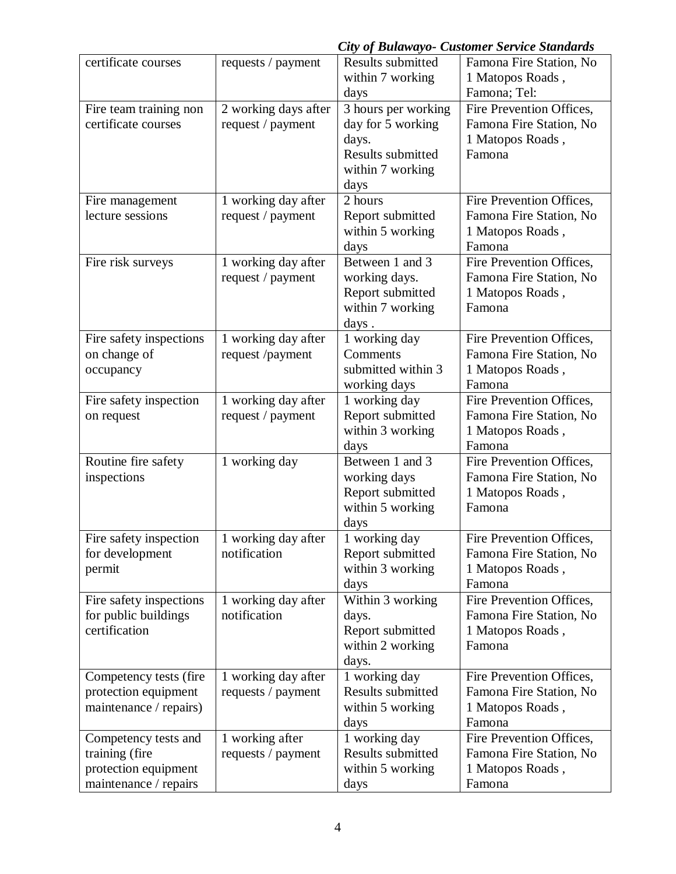|                         | City of Bulawayo- Customer Service Standards |                     |                          |  |
|-------------------------|----------------------------------------------|---------------------|--------------------------|--|
| certificate courses     | requests / payment                           | Results submitted   | Famona Fire Station, No  |  |
|                         |                                              | within 7 working    | 1 Matopos Roads,         |  |
|                         |                                              | days                | Famona; Tel:             |  |
| Fire team training non  | 2 working days after                         | 3 hours per working | Fire Prevention Offices, |  |
| certificate courses     | request / payment                            | day for 5 working   | Famona Fire Station, No  |  |
|                         |                                              | days.               | 1 Matopos Roads,         |  |
|                         |                                              | Results submitted   | Famona                   |  |
|                         |                                              | within 7 working    |                          |  |
|                         |                                              | days                |                          |  |
| Fire management         | 1 working day after                          | 2 hours             | Fire Prevention Offices, |  |
| lecture sessions        | request / payment                            | Report submitted    | Famona Fire Station, No  |  |
|                         |                                              | within 5 working    | 1 Matopos Roads,         |  |
|                         |                                              | days                | Famona                   |  |
| Fire risk surveys       | 1 working day after                          | Between 1 and 3     | Fire Prevention Offices, |  |
|                         | request / payment                            | working days.       | Famona Fire Station, No  |  |
|                         |                                              | Report submitted    | 1 Matopos Roads,         |  |
|                         |                                              | within 7 working    | Famona                   |  |
|                         |                                              | days.               |                          |  |
| Fire safety inspections | 1 working day after                          | 1 working day       | Fire Prevention Offices, |  |
| on change of            | request /payment                             | Comments            | Famona Fire Station, No  |  |
| occupancy               |                                              | submitted within 3  | 1 Matopos Roads,         |  |
|                         |                                              | working days        | Famona                   |  |
| Fire safety inspection  | 1 working day after                          | 1 working day       | Fire Prevention Offices, |  |
| on request              | request / payment                            | Report submitted    | Famona Fire Station, No  |  |
|                         |                                              | within 3 working    | 1 Matopos Roads,         |  |
|                         |                                              | days                | Famona                   |  |
| Routine fire safety     | 1 working day                                | Between 1 and 3     | Fire Prevention Offices, |  |
| inspections             |                                              | working days        | Famona Fire Station, No  |  |
|                         |                                              | Report submitted    | 1 Matopos Roads,         |  |
|                         |                                              | within 5 working    | Famona                   |  |
|                         |                                              | days                |                          |  |
| Fire safety inspection  | 1 working day after                          | 1 working day       | Fire Prevention Offices, |  |
| for development         | notification                                 | Report submitted    | Famona Fire Station, No  |  |
| permit                  |                                              | within 3 working    | 1 Matopos Roads,         |  |
|                         |                                              | days                | Famona                   |  |
| Fire safety inspections | 1 working day after                          | Within 3 working    | Fire Prevention Offices, |  |
| for public buildings    | notification                                 | days.               | Famona Fire Station, No  |  |
| certification           |                                              | Report submitted    | 1 Matopos Roads,         |  |
|                         |                                              | within 2 working    | Famona                   |  |
|                         |                                              | days.               |                          |  |
| Competency tests (fire  | 1 working day after                          | 1 working day       | Fire Prevention Offices, |  |
| protection equipment    | requests / payment                           | Results submitted   | Famona Fire Station, No  |  |
| maintenance / repairs)  |                                              | within 5 working    | 1 Matopos Roads,         |  |
|                         |                                              | days                | Famona                   |  |
| Competency tests and    | 1 working after                              | 1 working day       | Fire Prevention Offices, |  |
| training (fire          | requests / payment                           | Results submitted   | Famona Fire Station, No  |  |
| protection equipment    |                                              | within 5 working    | 1 Matopos Roads,         |  |
| maintenance / repairs   |                                              | days                | Famona                   |  |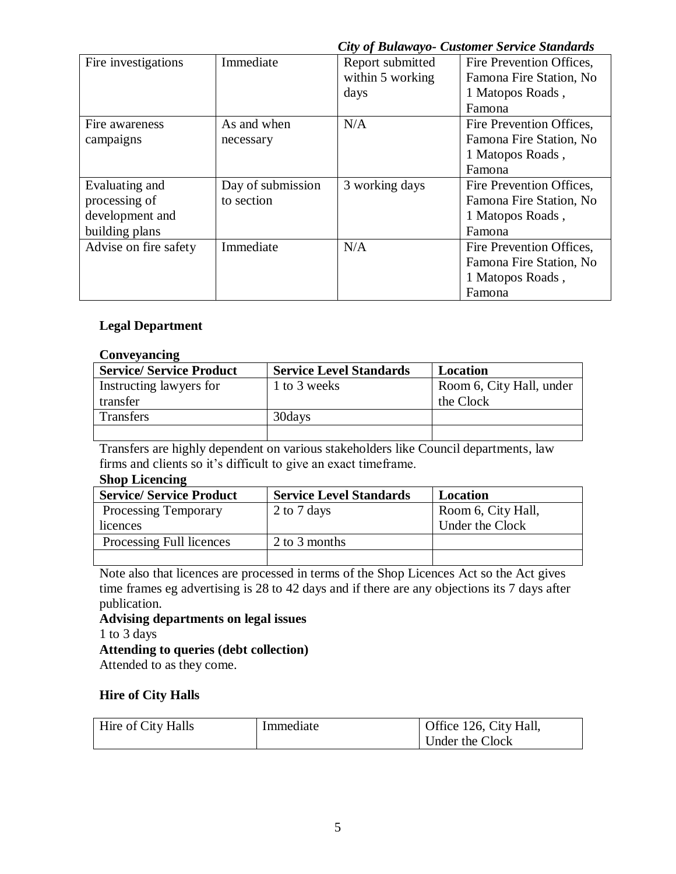| Fire investigations   | Immediate         | Report submitted | Fire Prevention Offices, |
|-----------------------|-------------------|------------------|--------------------------|
|                       |                   | within 5 working | Famona Fire Station, No  |
|                       |                   | days             | 1 Matopos Roads,         |
|                       |                   |                  | Famona                   |
| Fire awareness        | As and when       | N/A              | Fire Prevention Offices, |
| campaigns             | necessary         |                  | Famona Fire Station, No  |
|                       |                   |                  | 1 Matopos Roads,         |
|                       |                   |                  | Famona                   |
| Evaluating and        | Day of submission | 3 working days   | Fire Prevention Offices, |
| processing of         | to section        |                  | Famona Fire Station, No. |
| development and       |                   |                  | 1 Matopos Roads,         |
| building plans        |                   |                  | Famona                   |
| Advise on fire safety | Immediate         | N/A              | Fire Prevention Offices, |
|                       |                   |                  | Famona Fire Station, No  |
|                       |                   |                  | 1 Matopos Roads,         |
|                       |                   |                  | Famona                   |

## **Legal Department**

#### **Conveyancing**

| <b>Service/ Service Product</b> | <b>Service Level Standards</b> | Location                 |
|---------------------------------|--------------------------------|--------------------------|
| Instructing lawyers for         | 1 to 3 weeks                   | Room 6, City Hall, under |
| transfer                        |                                | the Clock                |
| <b>Transfers</b>                | 30 days                        |                          |
|                                 |                                |                          |

Transfers are highly dependent on various stakeholders like Council departments, law firms and clients so it's difficult to give an exact timeframe.

#### **Shop Licencing**

| <b>Service/ Service Product</b> | <b>Service Level Standards</b> | Location           |
|---------------------------------|--------------------------------|--------------------|
| <b>Processing Temporary</b>     | 2 to 7 days                    | Room 6, City Hall, |
| licences                        |                                | Under the Clock    |
| Processing Full licences        | 2 to 3 months                  |                    |
|                                 |                                |                    |

Note also that licences are processed in terms of the Shop Licences Act so the Act gives time frames eg advertising is 28 to 42 days and if there are any objections its 7 days after publication.

**Advising departments on legal issues** 1 to 3 days **Attending to queries (debt collection)**

Attended to as they come.

#### **Hire of City Halls**

| Hire of City Halls | Immediate | Office 126, City Hall, |
|--------------------|-----------|------------------------|
|                    |           | Under the Clock        |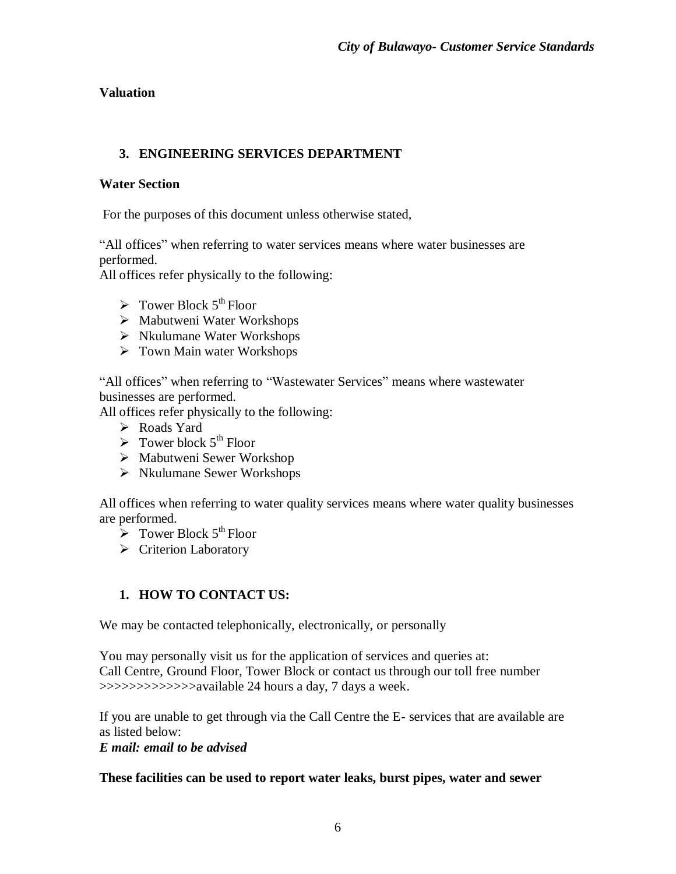## **Valuation**

## **3. ENGINEERING SERVICES DEPARTMENT**

#### **Water Section**

For the purposes of this document unless otherwise stated,

"All offices" when referring to water services means where water businesses are performed.

All offices refer physically to the following:

- $\triangleright$  Tower Block 5<sup>th</sup> Floor
- $\triangleright$  Mabutweni Water Workshops
- $\triangleright$  Nkulumane Water Workshops
- $\triangleright$  Town Main water Workshops

"All offices" when referring to "Wastewater Services" means where wastewater businesses are performed.

All offices refer physically to the following:

- Roads Yard
- $\triangleright$  Tower block 5<sup>th</sup> Floor
- $\triangleright$  Mabutweni Sewer Workshop
- Nkulumane Sewer Workshops

All offices when referring to water quality services means where water quality businesses are performed.

- $\triangleright$  Tower Block 5<sup>th</sup> Floor
- ▶ Criterion Laboratory

# **1. HOW TO CONTACT US:**

We may be contacted telephonically, electronically, or personally

You may personally visit us for the application of services and queries at: Call Centre, Ground Floor, Tower Block or contact us through our toll free number >>>>>>>>>>>>>available 24 hours a day, 7 days a week.

If you are unable to get through via the Call Centre the E- services that are available are as listed below:

#### *E mail: email to be advised*

#### **These facilities can be used to report water leaks, burst pipes, water and sewer**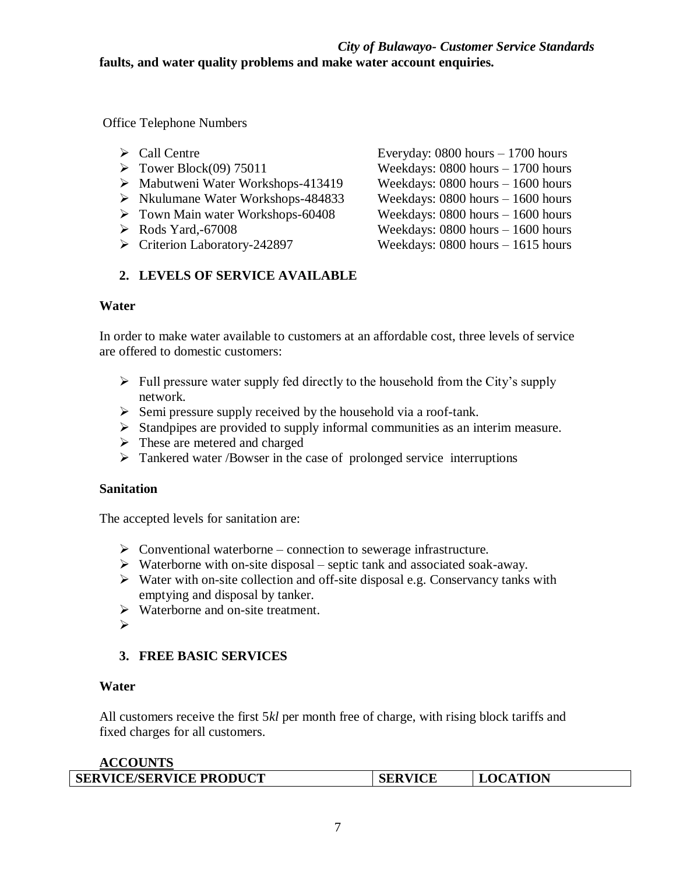#### *City of Bulawayo- Customer Service Standards*  **faults, and water quality problems and make water account enquiries.**

Office Telephone Numbers

- 
- 
- Mabutweni Water Workshops-413419 Weekdays: 0800 hours 1600 hours
- Nkulumane Water Workshops-484833 Weekdays: 0800 hours 1600 hours
- Town Main water Workshops-60408 Weekdays: 0800 hours 1600 hours
- 
- 

# **2. LEVELS OF SERVICE AVAILABLE**

#### **Water**

In order to make water available to customers at an affordable cost, three levels of service are offered to domestic customers:

- $\triangleright$  Full pressure water supply fed directly to the household from the City's supply network.
- $\triangleright$  Semi pressure supply received by the household via a roof-tank.
- $\triangleright$  Standpipes are provided to supply informal communities as an interim measure.
- > These are metered and charged
- > Tankered water /Bowser in the case of prolonged service interruptions

#### **Sanitation**

The accepted levels for sanitation are:

- $\triangleright$  Conventional waterborne connection to sewerage infrastructure.
- $\triangleright$  Waterborne with on-site disposal septic tank and associated soak-away.
- $\triangleright$  Water with on-site collection and off-site disposal e.g. Conservancy tanks with emptying and disposal by tanker.
- $\triangleright$  Waterborne and on-site treatment.
- $\blacktriangleright$

## **3. FREE BASIC SERVICES**

#### **Water**

All customers receive the first 5*kl* per month free of charge, with rising block tariffs and fixed charges for all customers.

#### **ACCOUNTS**

| <b>SERVICE/SERVICE PRODUCT</b> | <b>SERVICE</b> | <b>.OCATION</b> |
|--------------------------------|----------------|-----------------|
|                                |                |                 |

 Call Centre Everyday: 0800 hours – 1700 hours  $\triangleright$  Tower Block(09) 75011 Weekdays: 0800 hours – 1700 hours Rods Yard,-67008 Weekdays: 0800 hours – 1600 hours Criterion Laboratory-242897 Weekdays: 0800 hours – 1615 hours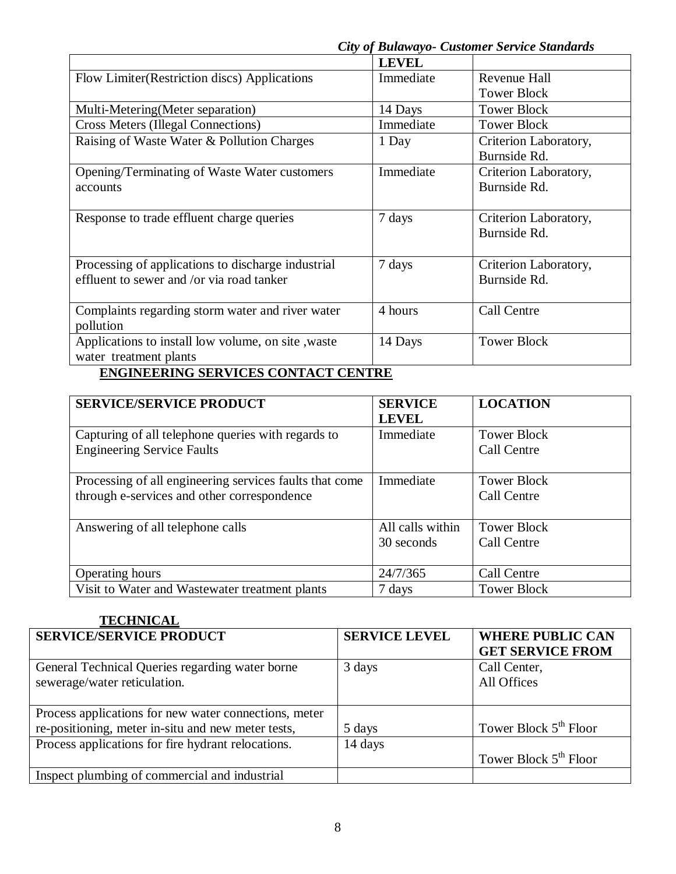|                                                     | <b>LEVEL</b> |                       |
|-----------------------------------------------------|--------------|-----------------------|
| Flow Limiter (Restriction discs) Applications       | Immediate    | Revenue Hall          |
|                                                     |              | <b>Tower Block</b>    |
| Multi-Metering (Meter separation)                   | 14 Days      | <b>Tower Block</b>    |
| <b>Cross Meters (Illegal Connections)</b>           | Immediate    | <b>Tower Block</b>    |
| Raising of Waste Water & Pollution Charges          | 1 Day        | Criterion Laboratory, |
|                                                     |              | Burnside Rd.          |
| Opening/Terminating of Waste Water customers        | Immediate    | Criterion Laboratory, |
| accounts                                            |              | Burnside Rd.          |
|                                                     |              |                       |
| Response to trade effluent charge queries           | 7 days       | Criterion Laboratory, |
|                                                     |              | Burnside Rd.          |
|                                                     |              |                       |
| Processing of applications to discharge industrial  | 7 days       | Criterion Laboratory, |
| effluent to sewer and /or via road tanker           |              | Burnside Rd.          |
|                                                     |              |                       |
| Complaints regarding storm water and river water    | 4 hours      | Call Centre           |
| pollution                                           |              |                       |
| Applications to install low volume, on site , waste | 14 Days      | <b>Tower Block</b>    |
| water treatment plants                              |              |                       |
|                                                     |              |                       |

## **ENGINEERING SERVICES CONTACT CENTRE**

| <b>SERVICE/SERVICE PRODUCT</b>                                                                         | <b>SERVICE</b><br><b>LEVEL</b> | <b>LOCATION</b>                   |
|--------------------------------------------------------------------------------------------------------|--------------------------------|-----------------------------------|
| Capturing of all telephone queries with regards to<br><b>Engineering Service Faults</b>                | Immediate                      | <b>Tower Block</b><br>Call Centre |
| Processing of all engineering services faults that come<br>through e-services and other correspondence | Immediate                      | <b>Tower Block</b><br>Call Centre |
| Answering of all telephone calls                                                                       | All calls within<br>30 seconds | <b>Tower Block</b><br>Call Centre |
| <b>Operating hours</b>                                                                                 | 24/7/365                       | Call Centre                       |
| Visit to Water and Wastewater treatment plants                                                         | 7 days                         | Tower Block                       |

## **TECHNICAL**

| <b>SERVICE/SERVICE PRODUCT</b>                        | <b>SERVICE LEVEL</b> | <b>WHERE PUBLIC CAN</b><br><b>GET SERVICE FROM</b> |
|-------------------------------------------------------|----------------------|----------------------------------------------------|
| General Technical Queries regarding water borne       | 3 days               | Call Center,                                       |
| sewerage/water reticulation.                          |                      | All Offices                                        |
|                                                       |                      |                                                    |
| Process applications for new water connections, meter |                      |                                                    |
| re-positioning, meter in-situ and new meter tests,    | 5 days               | Tower Block 5 <sup>th</sup> Floor                  |
| Process applications for fire hydrant relocations.    | 14 days              |                                                    |
|                                                       |                      | Tower Block $5th$ Floor                            |
| Inspect plumbing of commercial and industrial         |                      |                                                    |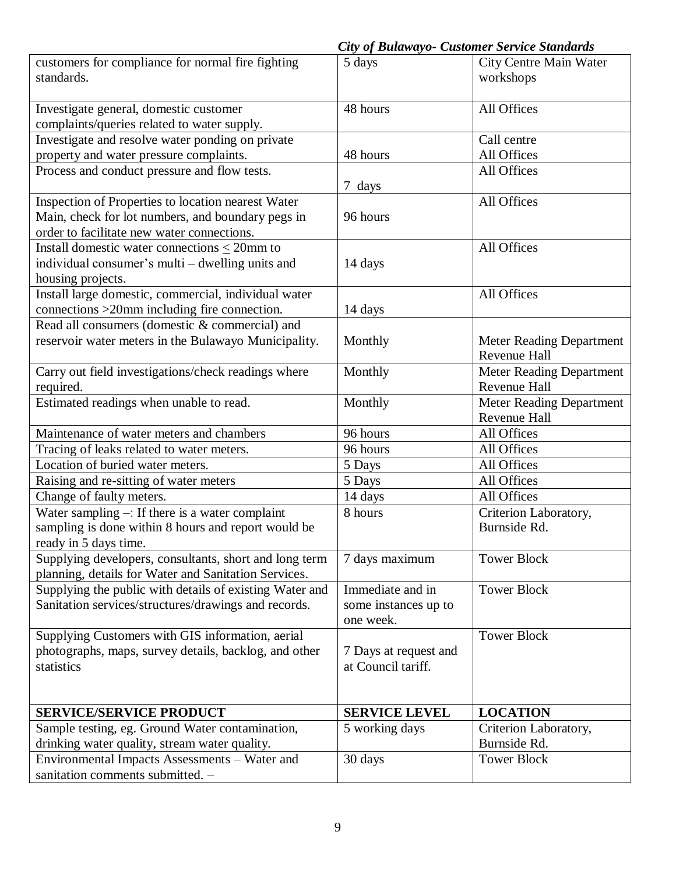|                                                         | <b>City of Bulawayo- Customer Service Standards</b> |                                       |
|---------------------------------------------------------|-----------------------------------------------------|---------------------------------------|
| customers for compliance for normal fire fighting       | 5 days                                              | <b>City Centre Main Water</b>         |
| standards.                                              |                                                     | workshops                             |
|                                                         |                                                     |                                       |
| Investigate general, domestic customer                  | 48 hours                                            | All Offices                           |
| complaints/queries related to water supply.             |                                                     |                                       |
| Investigate and resolve water ponding on private        |                                                     | Call centre                           |
| property and water pressure complaints.                 | 48 hours                                            | All Offices                           |
| Process and conduct pressure and flow tests.            |                                                     | All Offices                           |
|                                                         | 7 days                                              |                                       |
| Inspection of Properties to location nearest Water      |                                                     | All Offices                           |
|                                                         | 96 hours                                            |                                       |
| Main, check for lot numbers, and boundary pegs in       |                                                     |                                       |
| order to facilitate new water connections.              |                                                     |                                       |
| Install domestic water connections $\leq$ 20mm to       |                                                     | All Offices                           |
| individual consumer's multi – dwelling units and        | 14 days                                             |                                       |
| housing projects.                                       |                                                     |                                       |
| Install large domestic, commercial, individual water    |                                                     | All Offices                           |
| connections >20mm including fire connection.            | 14 days                                             |                                       |
| Read all consumers (domestic & commercial) and          |                                                     |                                       |
| reservoir water meters in the Bulawayo Municipality.    | Monthly                                             | <b>Meter Reading Department</b>       |
|                                                         |                                                     | Revenue Hall                          |
| Carry out field investigations/check readings where     | Monthly                                             | <b>Meter Reading Department</b>       |
| required.                                               |                                                     | Revenue Hall                          |
| Estimated readings when unable to read.                 | Monthly                                             | <b>Meter Reading Department</b>       |
|                                                         |                                                     | Revenue Hall                          |
| Maintenance of water meters and chambers                | 96 hours                                            | All Offices                           |
| Tracing of leaks related to water meters.               | 96 hours                                            | All Offices                           |
| Location of buried water meters.                        | 5 Days                                              | All Offices                           |
| Raising and re-sitting of water meters                  | 5 Days                                              | All Offices                           |
| Change of faulty meters.                                |                                                     | All Offices                           |
|                                                         | 14 days                                             |                                       |
| Water sampling $-$ : If there is a water complaint      | 8 hours                                             | Criterion Laboratory,<br>Burnside Rd. |
| sampling is done within 8 hours and report would be     |                                                     |                                       |
| ready in 5 days time.                                   |                                                     |                                       |
| Supplying developers, consultants, short and long term  | 7 days maximum                                      | <b>Tower Block</b>                    |
| planning, details for Water and Sanitation Services.    |                                                     |                                       |
| Supplying the public with details of existing Water and | Immediate and in                                    | <b>Tower Block</b>                    |
| Sanitation services/structures/drawings and records.    | some instances up to                                |                                       |
|                                                         | one week.                                           |                                       |
| Supplying Customers with GIS information, aerial        |                                                     | <b>Tower Block</b>                    |
| photographs, maps, survey details, backlog, and other   | 7 Days at request and                               |                                       |
| statistics                                              | at Council tariff.                                  |                                       |
|                                                         |                                                     |                                       |
|                                                         |                                                     |                                       |
| <b>SERVICE/SERVICE PRODUCT</b>                          | <b>SERVICE LEVEL</b>                                | <b>LOCATION</b>                       |
| Sample testing, eg. Ground Water contamination,         | 5 working days                                      | Criterion Laboratory,                 |
| drinking water quality, stream water quality.           |                                                     | Burnside Rd.                          |
| Environmental Impacts Assessments - Water and           | 30 days                                             | <b>Tower Block</b>                    |
| sanitation comments submitted. -                        |                                                     |                                       |
|                                                         |                                                     |                                       |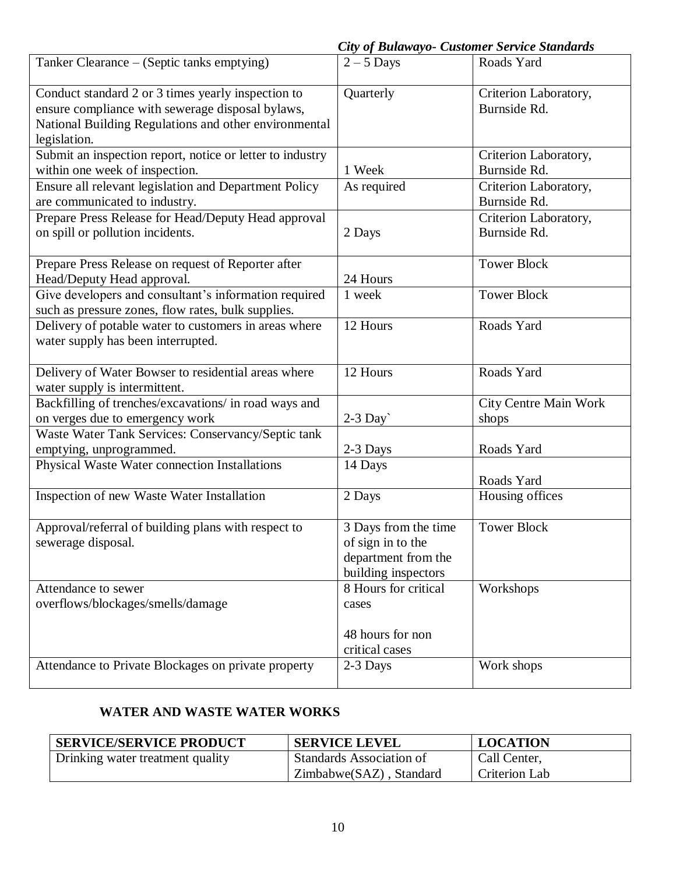*City of Bulawayo- Customer Service Standards* 

|                                                           | $\sim$ , $\sim$ , $\sim$ www.rwy | Castonici Dei rice Brandan as |
|-----------------------------------------------------------|----------------------------------|-------------------------------|
| Tanker Clearance – (Septic tanks emptying)                | $2 - 5$ Days                     | Roads Yard                    |
| Conduct standard 2 or 3 times yearly inspection to        | Quarterly                        | Criterion Laboratory,         |
| ensure compliance with sewerage disposal bylaws,          |                                  | Burnside Rd.                  |
| National Building Regulations and other environmental     |                                  |                               |
| legislation.                                              |                                  |                               |
| Submit an inspection report, notice or letter to industry |                                  | Criterion Laboratory,         |
| within one week of inspection.                            | 1 Week                           | Burnside Rd.                  |
| Ensure all relevant legislation and Department Policy     | As required                      | Criterion Laboratory,         |
| are communicated to industry.                             |                                  | Burnside Rd.                  |
| Prepare Press Release for Head/Deputy Head approval       |                                  | Criterion Laboratory,         |
| on spill or pollution incidents.                          | 2 Days                           | Burnside Rd.                  |
|                                                           |                                  |                               |
| Prepare Press Release on request of Reporter after        |                                  | <b>Tower Block</b>            |
| Head/Deputy Head approval.                                | 24 Hours                         |                               |
| Give developers and consultant's information required     | 1 week                           | <b>Tower Block</b>            |
| such as pressure zones, flow rates, bulk supplies.        |                                  |                               |
| Delivery of potable water to customers in areas where     | 12 Hours                         | Roads Yard                    |
| water supply has been interrupted.                        |                                  |                               |
|                                                           |                                  |                               |
| Delivery of Water Bowser to residential areas where       | 12 Hours                         | Roads Yard                    |
| water supply is intermittent.                             |                                  |                               |
| Backfilling of trenches/excavations/ in road ways and     |                                  | City Centre Main Work         |
| on verges due to emergency work                           | $2-3$ Day                        | shops                         |
| Waste Water Tank Services: Conservancy/Septic tank        |                                  |                               |
| emptying, unprogrammed.                                   | 2-3 Days                         | Roads Yard                    |
| Physical Waste Water connection Installations             | 14 Days                          |                               |
|                                                           |                                  | Roads Yard                    |
| Inspection of new Waste Water Installation                | 2 Days                           | Housing offices               |
|                                                           | 3 Days from the time             | <b>Tower Block</b>            |
| Approval/referral of building plans with respect to       |                                  |                               |
| sewerage disposal.                                        | of sign in to the                |                               |
|                                                           | department from the              |                               |
|                                                           | building inspectors              |                               |
| Attendance to sewer                                       | 8 Hours for critical             | Workshops                     |
| overflows/blockages/smells/damage                         | cases                            |                               |
|                                                           |                                  |                               |
|                                                           | 48 hours for non                 |                               |
|                                                           | critical cases                   |                               |
| Attendance to Private Blockages on private property       | 2-3 Days                         | Work shops                    |
|                                                           |                                  |                               |

# **WATER AND WASTE WATER WORKS**

| <b>SERVICE/SERVICE PRODUCT</b>   | <b>SERVICE LEVEL</b>            | <b>LOCATION</b>      |
|----------------------------------|---------------------------------|----------------------|
| Drinking water treatment quality | <b>Standards Association of</b> | Call Center,         |
|                                  | Zimbabwe(SAZ), Standard         | <b>Criterion Lab</b> |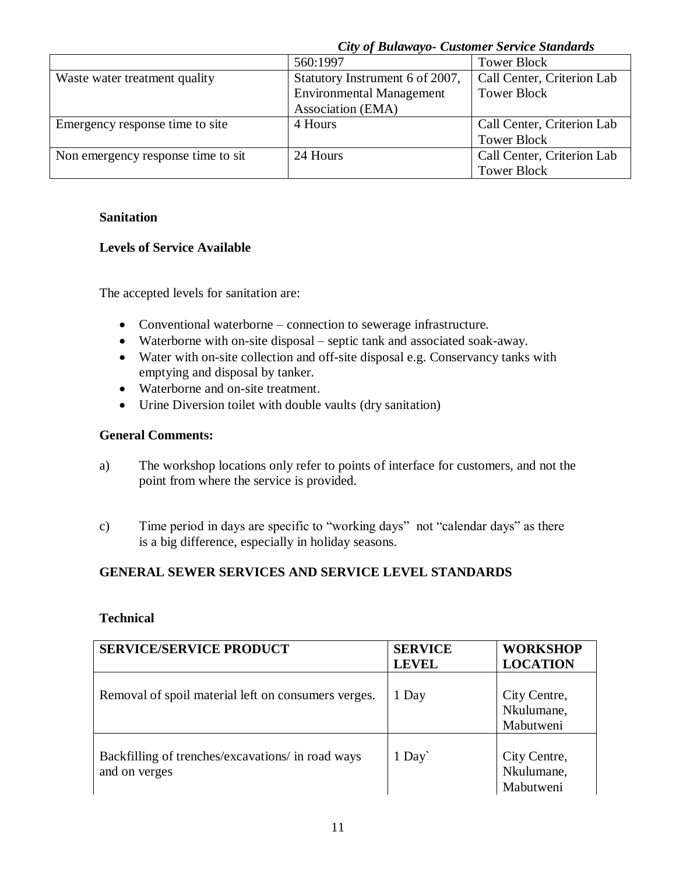|                                    | <b>City of Bulawayo- Customer Service Standards</b> |                            |
|------------------------------------|-----------------------------------------------------|----------------------------|
|                                    | 560:1997                                            | <b>Tower Block</b>         |
| Waste water treatment quality      | Statutory Instrument 6 of 2007,                     | Call Center, Criterion Lab |
|                                    | <b>Environmental Management</b>                     | <b>Tower Block</b>         |
|                                    | Association (EMA)                                   |                            |
| Emergency response time to site    | 4 Hours                                             | Call Center, Criterion Lab |
|                                    |                                                     | <b>Tower Block</b>         |
| Non emergency response time to sit | 24 Hours                                            | Call Center, Criterion Lab |
|                                    |                                                     | <b>Tower Block</b>         |

#### **Sanitation**

#### **Levels of Service Available**

The accepted levels for sanitation are:

- Conventional waterborne connection to sewerage infrastructure.
- Waterborne with on-site disposal septic tank and associated soak-away.
- Water with on-site collection and off-site disposal e.g. Conservancy tanks with emptying and disposal by tanker.
- Waterborne and on-site treatment.
- Urine Diversion toilet with double vaults (dry sanitation)

#### **General Comments:**

- a) The workshop locations only refer to points of interface for customers, and not the point from where the service is provided.
- c) Time period in days are specific to "working days" not "calendar days" as there is a big difference, especially in holiday seasons.

#### **GENERAL SEWER SERVICES AND SERVICE LEVEL STANDARDS**

#### **Technical**

| <b>SERVICE/SERVICE PRODUCT</b>                                     | <b>SERVICE</b><br><b>LEVEL</b> | <b>WORKSHOP</b><br><b>LOCATION</b>      |
|--------------------------------------------------------------------|--------------------------------|-----------------------------------------|
| Removal of spoil material left on consumers verges.                | 1 Day                          | City Centre,<br>Nkulumane,<br>Mabutweni |
| Backfilling of trenches/excavations/ in road ways<br>and on verges | 1 Day                          | City Centre,<br>Nkulumane,<br>Mabutweni |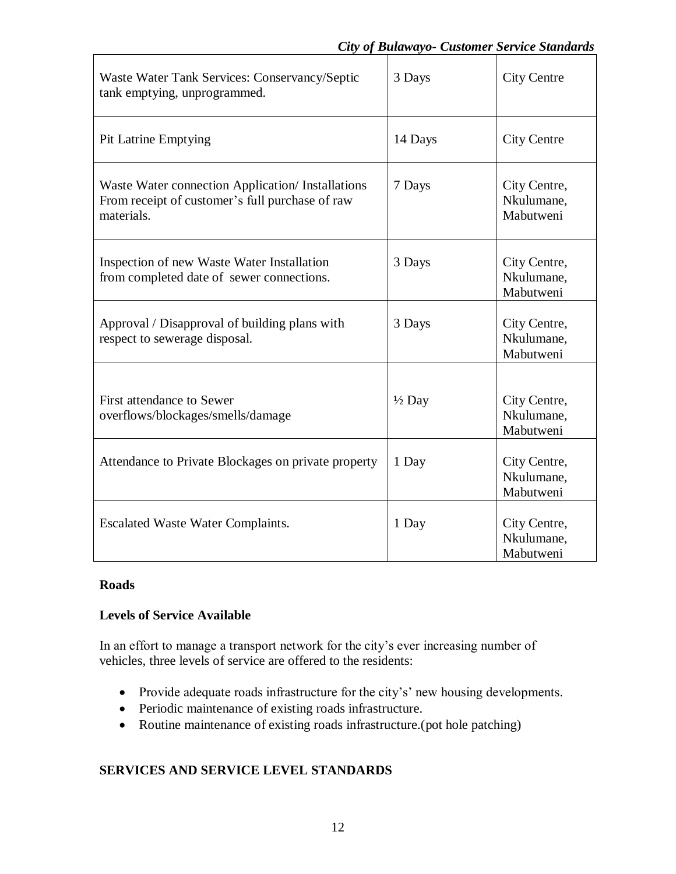| Waste Water Tank Services: Conservancy/Septic<br>tank emptying, unprogrammed.                                      | 3 Days            | <b>City Centre</b>                      |
|--------------------------------------------------------------------------------------------------------------------|-------------------|-----------------------------------------|
| <b>Pit Latrine Emptying</b>                                                                                        | 14 Days           | <b>City Centre</b>                      |
| Waste Water connection Application/ Installations<br>From receipt of customer's full purchase of raw<br>materials. | 7 Days            | City Centre,<br>Nkulumane,<br>Mabutweni |
| Inspection of new Waste Water Installation<br>from completed date of sewer connections.                            | 3 Days            | City Centre,<br>Nkulumane,<br>Mabutweni |
| Approval / Disapproval of building plans with<br>respect to sewerage disposal.                                     | 3 Days            | City Centre,<br>Nkulumane,<br>Mabutweni |
| First attendance to Sewer<br>overflows/blockages/smells/damage                                                     | $\frac{1}{2}$ Day | City Centre,<br>Nkulumane,<br>Mabutweni |
| Attendance to Private Blockages on private property                                                                | 1 Day             | City Centre,<br>Nkulumane,<br>Mabutweni |
| <b>Escalated Waste Water Complaints.</b>                                                                           | 1 Day             | City Centre,<br>Nkulumane,<br>Mabutweni |

# **Roads**

# **Levels of Service Available**

In an effort to manage a transport network for the city's ever increasing number of vehicles, three levels of service are offered to the residents:

- Provide adequate roads infrastructure for the city's' new housing developments.
- Periodic maintenance of existing roads infrastructure.
- Routine maintenance of existing roads infrastructure.(pot hole patching)

# **SERVICES AND SERVICE LEVEL STANDARDS**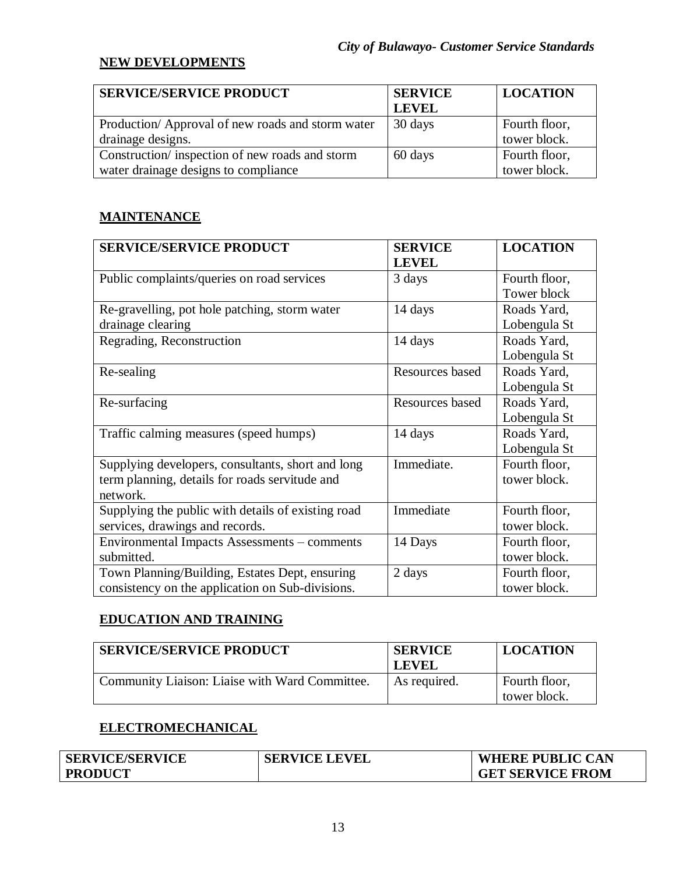## **NEW DEVELOPMENTS**

| <b>SERVICE/SERVICE PRODUCT</b>                   | <b>SERVICE</b> | <b>LOCATION</b> |
|--------------------------------------------------|----------------|-----------------|
|                                                  | <b>LEVEL</b>   |                 |
| Production/Approval of new roads and storm water | 30 days        | Fourth floor,   |
| drainage designs.                                |                | tower block.    |
| Construction/inspection of new roads and storm   | 60 days        | Fourth floor,   |
| water drainage designs to compliance             |                | tower block.    |

## **MAINTENANCE**

| <b>SERVICE/SERVICE PRODUCT</b>                     | <b>SERVICE</b>         | <b>LOCATION</b> |
|----------------------------------------------------|------------------------|-----------------|
|                                                    | <b>LEVEL</b>           |                 |
| Public complaints/queries on road services         | 3 days                 | Fourth floor,   |
|                                                    |                        | Tower block     |
| Re-gravelling, pot hole patching, storm water      | 14 days                | Roads Yard,     |
| drainage clearing                                  |                        | Lobengula St    |
| Regrading, Reconstruction                          | 14 days                | Roads Yard,     |
|                                                    |                        | Lobengula St    |
| Re-sealing                                         | <b>Resources based</b> | Roads Yard,     |
|                                                    |                        | Lobengula St    |
| Re-surfacing                                       | Resources based        | Roads Yard,     |
|                                                    |                        | Lobengula St    |
| Traffic calming measures (speed humps)             | 14 days                | Roads Yard,     |
|                                                    |                        | Lobengula St    |
| Supplying developers, consultants, short and long  | Immediate.             | Fourth floor,   |
| term planning, details for roads servitude and     |                        | tower block.    |
| network.                                           |                        |                 |
| Supplying the public with details of existing road | Immediate              | Fourth floor,   |
| services, drawings and records.                    |                        | tower block.    |
| Environmental Impacts Assessments – comments       | 14 Days                | Fourth floor,   |
| submitted.                                         |                        | tower block.    |
| Town Planning/Building, Estates Dept, ensuring     | 2 days                 | Fourth floor,   |
| consistency on the application on Sub-divisions.   |                        | tower block.    |

## **EDUCATION AND TRAINING**

| <b>SERVICE/SERVICE PRODUCT</b>                 | <b>SERVICE</b><br><b>LEVEL</b> | <b>LOCATION</b>               |
|------------------------------------------------|--------------------------------|-------------------------------|
| Community Liaison: Liaise with Ward Committee. | As required.                   | Fourth floor,<br>tower block. |

### **ELECTROMECHANICAL**

| <b>SERVICE/SERVICE</b> | <b>SERVICE LEVEL</b> | <b>WHERE PUBLIC CAN</b> |
|------------------------|----------------------|-------------------------|
| <b>PRODUCT</b>         |                      | <b>GET SERVICE FROM</b> |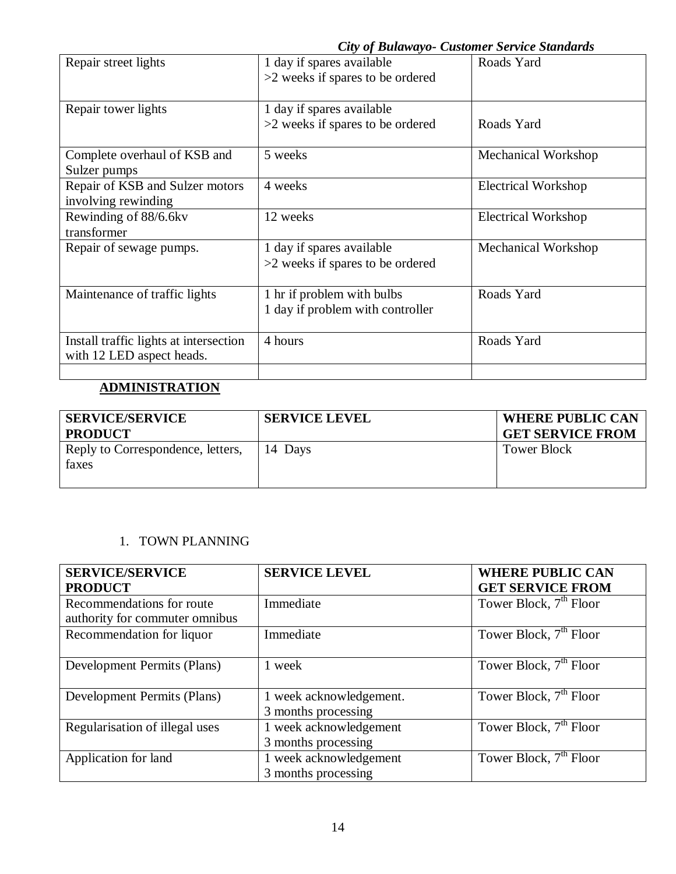|                                        |                                    | Cuy of Dutawayo- Customer Service Standards |
|----------------------------------------|------------------------------------|---------------------------------------------|
| Repair street lights                   | 1 day if spares available          | Roads Yard                                  |
|                                        | >2 weeks if spares to be ordered   |                                             |
|                                        |                                    |                                             |
| Repair tower lights                    | 1 day if spares available          |                                             |
|                                        | >2 weeks if spares to be ordered   | Roads Yard                                  |
|                                        |                                    |                                             |
| Complete overhaul of KSB and           | 5 weeks                            | Mechanical Workshop                         |
| Sulzer pumps                           |                                    |                                             |
| Repair of KSB and Sulzer motors        | 4 weeks                            | <b>Electrical Workshop</b>                  |
| involving rewinding                    |                                    |                                             |
| Rewinding of 88/6.6kv                  | 12 weeks                           | <b>Electrical Workshop</b>                  |
| transformer                            |                                    |                                             |
| Repair of sewage pumps.                | 1 day if spares available          | Mechanical Workshop                         |
|                                        | $>2$ weeks if spares to be ordered |                                             |
|                                        |                                    |                                             |
| Maintenance of traffic lights          | 1 hr if problem with bulbs         | Roads Yard                                  |
|                                        | 1 day if problem with controller   |                                             |
|                                        |                                    |                                             |
| Install traffic lights at intersection | 4 hours                            | Roads Yard                                  |
| with 12 LED aspect heads.              |                                    |                                             |
|                                        |                                    |                                             |

# **ADMINISTRATION**

| <b>SERVICE/SERVICE</b><br><b>PRODUCT</b>   | <b>SERVICE LEVEL</b> | <b>WHERE PUBLIC CAN</b><br><b>GET SERVICE FROM</b> |
|--------------------------------------------|----------------------|----------------------------------------------------|
| Reply to Correspondence, letters,<br>faxes | 14 Days              | <b>Tower Block</b>                                 |

## 1. TOWN PLANNING

| <b>SERVICE/SERVICE</b>         | <b>SERVICE LEVEL</b>    | <b>WHERE PUBLIC CAN</b>            |
|--------------------------------|-------------------------|------------------------------------|
| <b>PRODUCT</b>                 |                         | <b>GET SERVICE FROM</b>            |
| Recommendations for route      | Immediate               | Tower Block, 7 <sup>th</sup> Floor |
| authority for commuter omnibus |                         |                                    |
| Recommendation for liquor      | Immediate               | Tower Block, 7 <sup>th</sup> Floor |
|                                |                         |                                    |
| Development Permits (Plans)    | week                    | Tower Block, 7 <sup>th</sup> Floor |
|                                |                         |                                    |
| Development Permits (Plans)    | 1 week acknowledgement. | Tower Block, 7 <sup>th</sup> Floor |
|                                | 3 months processing     |                                    |
| Regularisation of illegal uses | 1 week acknowledgement  | Tower Block, 7 <sup>th</sup> Floor |
|                                | 3 months processing     |                                    |
| Application for land           | 1 week acknowledgement  | Tower Block, 7 <sup>th</sup> Floor |
|                                | 3 months processing     |                                    |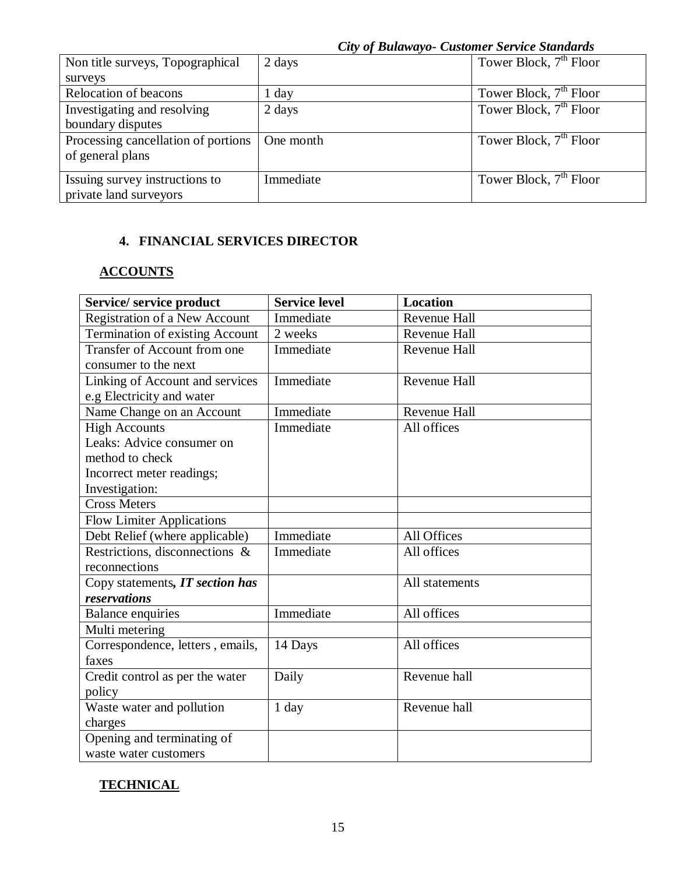|                                     | <b>City of Bulawayo- Customer Service Standards</b> |                                    |
|-------------------------------------|-----------------------------------------------------|------------------------------------|
| Non title surveys, Topographical    | 2 days                                              | Tower Block, 7 <sup>th</sup> Floor |
| surveys                             |                                                     |                                    |
| Relocation of beacons               | 1 day                                               | Tower Block, $7th$ Floor           |
| Investigating and resolving         | 2 days                                              | Tower Block, 7 <sup>th</sup> Floor |
| boundary disputes                   |                                                     |                                    |
| Processing cancellation of portions | One month                                           | Tower Block, $7th$ Floor           |
| of general plans                    |                                                     |                                    |
|                                     |                                                     |                                    |
| Issuing survey instructions to      | Immediate                                           | Tower Block, $7th$ Floor           |
| private land surveyors              |                                                     |                                    |

## **4. FINANCIAL SERVICES DIRECTOR**

## **ACCOUNTS**

| Service/ service product         | <b>Service level</b> | <b>Location</b>     |
|----------------------------------|----------------------|---------------------|
| Registration of a New Account    | Immediate            | Revenue Hall        |
| Termination of existing Account  | 2 weeks              | Revenue Hall        |
| Transfer of Account from one     | Immediate            | Revenue Hall        |
| consumer to the next             |                      |                     |
| Linking of Account and services  | Immediate            | <b>Revenue Hall</b> |
| e.g Electricity and water        |                      |                     |
| Name Change on an Account        | Immediate            | <b>Revenue Hall</b> |
| <b>High Accounts</b>             | Immediate            | All offices         |
| Leaks: Advice consumer on        |                      |                     |
| method to check                  |                      |                     |
| Incorrect meter readings;        |                      |                     |
| Investigation:                   |                      |                     |
| <b>Cross Meters</b>              |                      |                     |
| <b>Flow Limiter Applications</b> |                      |                     |
| Debt Relief (where applicable)   | Immediate            | All Offices         |
| Restrictions, disconnections &   | Immediate            | All offices         |
| reconnections                    |                      |                     |
| Copy statements, IT section has  |                      | All statements      |
| reservations                     |                      |                     |
| Balance enquiries                | Immediate            | All offices         |
| Multi metering                   |                      |                     |
| Correspondence, letters, emails, | 14 Days              | All offices         |
| faxes                            |                      |                     |
| Credit control as per the water  | Daily                | Revenue hall        |
| policy                           |                      |                     |
| Waste water and pollution        | 1 day                | Revenue hall        |
| charges                          |                      |                     |
| Opening and terminating of       |                      |                     |
| waste water customers            |                      |                     |

# **TECHNICAL**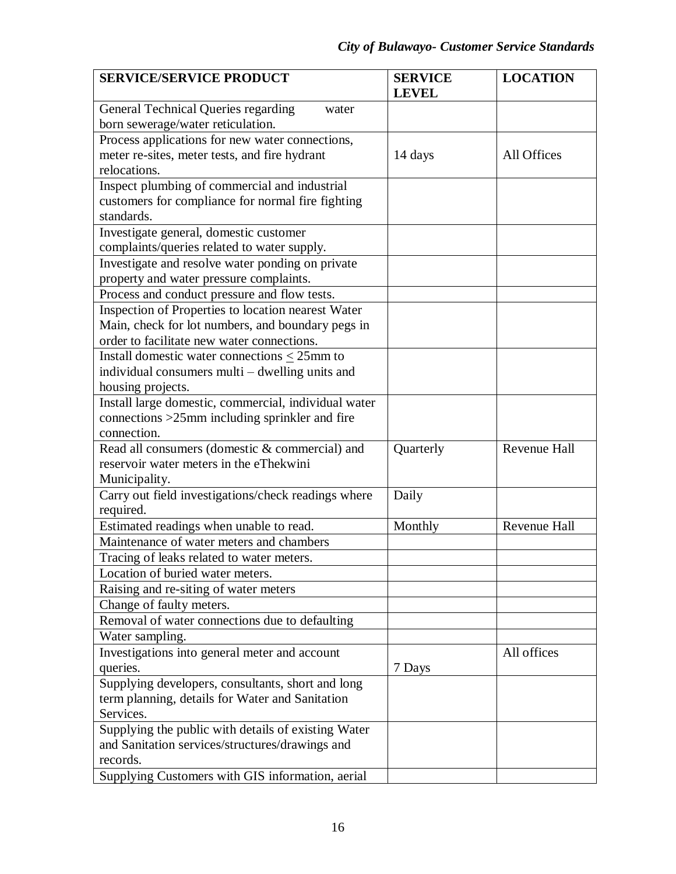| <b>SERVICE/SERVICE PRODUCT</b>                                                      | <b>SERVICE</b> | <b>LOCATION</b>     |
|-------------------------------------------------------------------------------------|----------------|---------------------|
|                                                                                     | <b>LEVEL</b>   |                     |
| General Technical Queries regarding<br>water                                        |                |                     |
| born sewerage/water reticulation.                                                   |                |                     |
| Process applications for new water connections,                                     |                |                     |
| meter re-sites, meter tests, and fire hydrant                                       | 14 days        | All Offices         |
| relocations.                                                                        |                |                     |
| Inspect plumbing of commercial and industrial                                       |                |                     |
| customers for compliance for normal fire fighting<br>standards.                     |                |                     |
|                                                                                     |                |                     |
| Investigate general, domestic customer                                              |                |                     |
| complaints/queries related to water supply.                                         |                |                     |
| Investigate and resolve water ponding on private                                    |                |                     |
| property and water pressure complaints.                                             |                |                     |
| Process and conduct pressure and flow tests.                                        |                |                     |
| Inspection of Properties to location nearest Water                                  |                |                     |
| Main, check for lot numbers, and boundary pegs in                                   |                |                     |
| order to facilitate new water connections.                                          |                |                     |
| Install domestic water connections $\leq$ 25mm to                                   |                |                     |
| individual consumers multi – dwelling units and                                     |                |                     |
| housing projects.                                                                   |                |                     |
| Install large domestic, commercial, individual water                                |                |                     |
| connections $>25$ mm including sprinkler and fire                                   |                |                     |
| connection.                                                                         |                |                     |
| Read all consumers (domestic & commercial) and                                      | Quarterly      | <b>Revenue Hall</b> |
| reservoir water meters in the eThekwini                                             |                |                     |
| Municipality.                                                                       |                |                     |
| Carry out field investigations/check readings where                                 | Daily          |                     |
| required.                                                                           |                |                     |
| Estimated readings when unable to read.<br>Maintenance of water meters and chambers | Monthly        | Revenue Hall        |
|                                                                                     |                |                     |
| Tracing of leaks related to water meters.                                           |                |                     |
| Location of buried water meters.                                                    |                |                     |
| Raising and re-siting of water meters                                               |                |                     |
| Change of faulty meters.                                                            |                |                     |
| Removal of water connections due to defaulting                                      |                |                     |
| Water sampling.                                                                     |                |                     |
| Investigations into general meter and account                                       |                | All offices         |
| queries.                                                                            | 7 Days         |                     |
| Supplying developers, consultants, short and long                                   |                |                     |
| term planning, details for Water and Sanitation<br>Services.                        |                |                     |
|                                                                                     |                |                     |
| Supplying the public with details of existing Water                                 |                |                     |
| and Sanitation services/structures/drawings and<br>records.                         |                |                     |
|                                                                                     |                |                     |
| Supplying Customers with GIS information, aerial                                    |                |                     |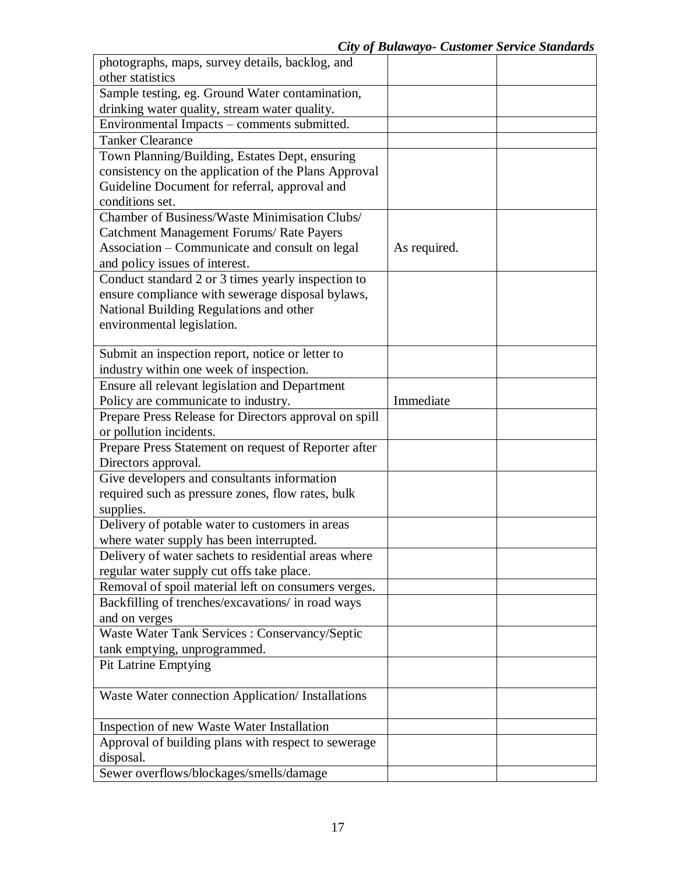| photographs, maps, survey details, backlog, and       |              |  |
|-------------------------------------------------------|--------------|--|
| other statistics                                      |              |  |
| Sample testing, eg. Ground Water contamination,       |              |  |
| drinking water quality, stream water quality.         |              |  |
| Environmental Impacts - comments submitted.           |              |  |
| <b>Tanker Clearance</b>                               |              |  |
| Town Planning/Building, Estates Dept, ensuring        |              |  |
| consistency on the application of the Plans Approval  |              |  |
| Guideline Document for referral, approval and         |              |  |
| conditions set.                                       |              |  |
| <b>Chamber of Business/Waste Minimisation Clubs/</b>  |              |  |
| <b>Catchment Management Forums/ Rate Payers</b>       |              |  |
| Association - Communicate and consult on legal        | As required. |  |
| and policy issues of interest.                        |              |  |
| Conduct standard 2 or 3 times yearly inspection to    |              |  |
| ensure compliance with sewerage disposal bylaws,      |              |  |
| National Building Regulations and other               |              |  |
| environmental legislation.                            |              |  |
| Submit an inspection report, notice or letter to      |              |  |
| industry within one week of inspection.               |              |  |
| Ensure all relevant legislation and Department        |              |  |
| Policy are communicate to industry.                   | Immediate    |  |
| Prepare Press Release for Directors approval on spill |              |  |
| or pollution incidents.                               |              |  |
| Prepare Press Statement on request of Reporter after  |              |  |
| Directors approval.                                   |              |  |
| Give developers and consultants information           |              |  |
| required such as pressure zones, flow rates, bulk     |              |  |
| supplies.                                             |              |  |
| Delivery of potable water to customers in areas       |              |  |
| where water supply has been interrupted.              |              |  |
| Delivery of water sachets to residential areas where  |              |  |
| regular water supply cut offs take place.             |              |  |
| Removal of spoil material left on consumers verges.   |              |  |
| Backfilling of trenches/excavations/ in road ways     |              |  |
| and on verges                                         |              |  |
| Waste Water Tank Services : Conservancy/Septic        |              |  |
| tank emptying, unprogrammed.                          |              |  |
| <b>Pit Latrine Emptying</b>                           |              |  |
|                                                       |              |  |
| Waste Water connection Application/ Installations     |              |  |
|                                                       |              |  |
| Inspection of new Waste Water Installation            |              |  |
| Approval of building plans with respect to sewerage   |              |  |
| disposal.                                             |              |  |
| Sewer overflows/blockages/smells/damage               |              |  |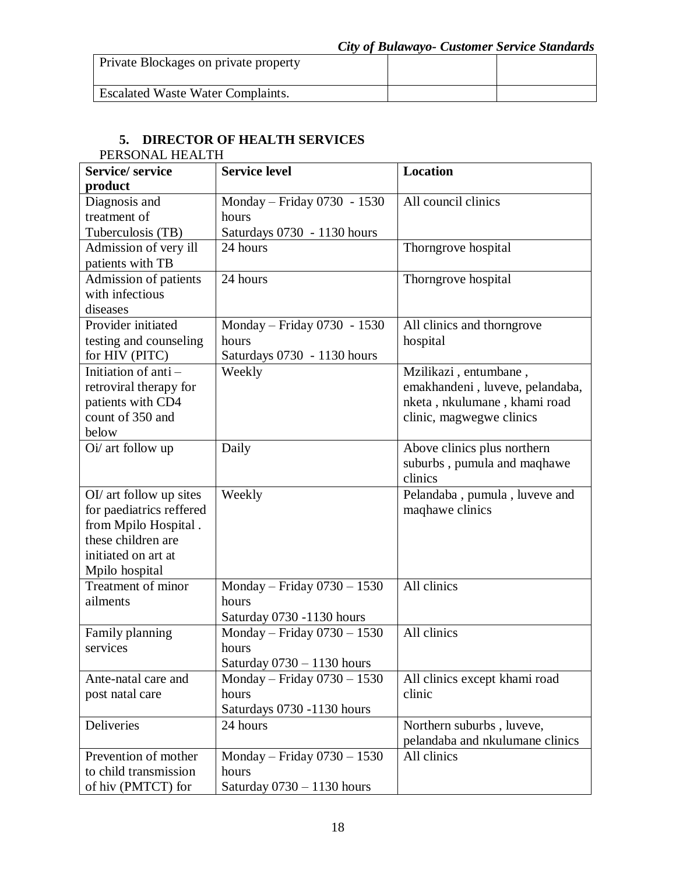| Private Blockages on private property    |  |
|------------------------------------------|--|
| <b>Escalated Waste Water Complaints.</b> |  |

# **5. DIRECTOR OF HEALTH SERVICES**

| PERSONAL HEALTH          |                              |                                 |  |
|--------------------------|------------------------------|---------------------------------|--|
| <b>Service/service</b>   | <b>Service level</b>         | <b>Location</b>                 |  |
| product                  |                              |                                 |  |
| Diagnosis and            | Monday - Friday 0730 - 1530  | All council clinics             |  |
| treatment of             | hours                        |                                 |  |
| Tuberculosis (TB)        | Saturdays 0730 - 1130 hours  |                                 |  |
| Admission of very ill    | 24 hours                     | Thorngrove hospital             |  |
| patients with TB         |                              |                                 |  |
| Admission of patients    | 24 hours                     | Thorngrove hospital             |  |
| with infectious          |                              |                                 |  |
| diseases                 |                              |                                 |  |
| Provider initiated       | Monday – Friday 0730 - 1530  | All clinics and thorngrove      |  |
| testing and counseling   | hours                        | hospital                        |  |
| for HIV (PITC)           | Saturdays 0730 - 1130 hours  |                                 |  |
| Initiation of anti-      | Weekly                       | Mzilikazi, entumbane,           |  |
| retroviral therapy for   |                              | emakhandeni, luveve, pelandaba, |  |
| patients with CD4        |                              | nketa, nkulumane, khami road    |  |
| count of 350 and         |                              | clinic, magwegwe clinics        |  |
| below                    |                              |                                 |  |
| Oi/ art follow up        | Daily                        | Above clinics plus northern     |  |
|                          |                              | suburbs, pumula and maqhawe     |  |
|                          |                              | clinics                         |  |
| OI/ art follow up sites  | Weekly                       | Pelandaba, pumula, luveve and   |  |
| for paediatrics reffered |                              | maqhawe clinics                 |  |
| from Mpilo Hospital.     |                              |                                 |  |
| these children are       |                              |                                 |  |
| initiated on art at      |                              |                                 |  |
| Mpilo hospital           |                              |                                 |  |
| Treatment of minor       | Monday - Friday 0730 - 1530  | All clinics                     |  |
| ailments                 | hours                        |                                 |  |
|                          | Saturday 0730 -1130 hours    |                                 |  |
| Family planning          | Monday - Friday 0730 - 1530  | All clinics                     |  |
| services                 | hours                        |                                 |  |
|                          | Saturday $0730 - 1130$ hours |                                 |  |
| Ante-natal care and      | Monday - Friday 0730 - 1530  | All clinics except khami road   |  |
| post natal care          | hours                        | clinic                          |  |
|                          | Saturdays 0730 -1130 hours   |                                 |  |
| Deliveries               | 24 hours                     | Northern suburbs, luveve,       |  |
|                          |                              | pelandaba and nkulumane clinics |  |
| Prevention of mother     | Monday - Friday 0730 - 1530  | All clinics                     |  |
| to child transmission    | hours                        |                                 |  |
| of hiv (PMTCT) for       | Saturday $0730 - 1130$ hours |                                 |  |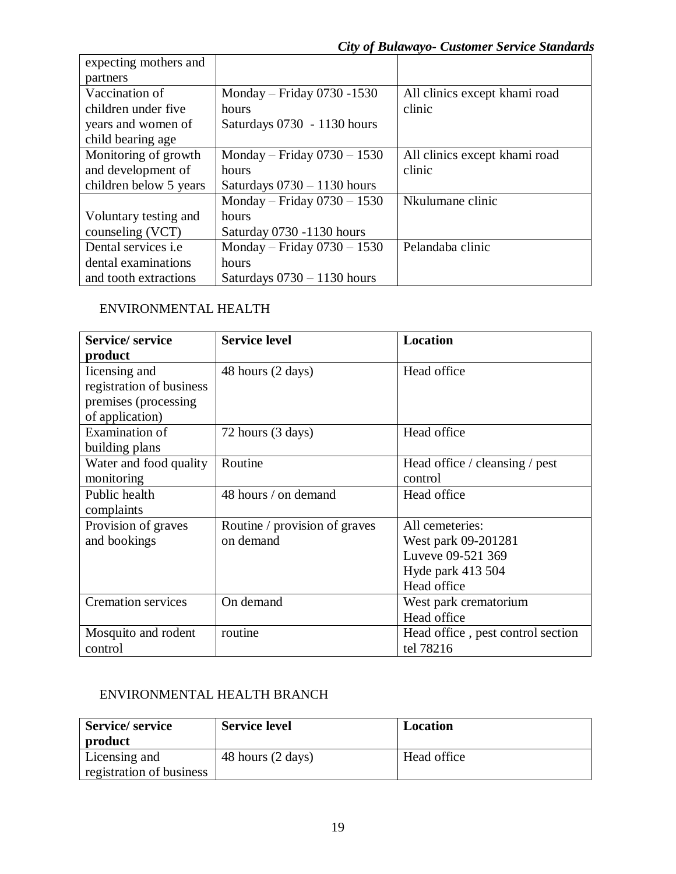| expecting mothers and      |                               |                               |
|----------------------------|-------------------------------|-------------------------------|
| partners                   |                               |                               |
| Vaccination of             | Monday – Friday 0730 -1530    | All clinics except khami road |
| children under five        | hours                         | clinic                        |
| years and women of         | Saturdays 0730 - 1130 hours   |                               |
| child bearing age          |                               |                               |
| Monitoring of growth       | Monday – Friday $0730 - 1530$ | All clinics except khami road |
| and development of         | hours                         | clinic                        |
| children below 5 years     | Saturdays $0730 - 1130$ hours |                               |
|                            | Monday – Friday $0730 - 1530$ | Nkulumane clinic              |
| Voluntary testing and      | hours                         |                               |
| counseling (VCT)           | Saturday 0730 -1130 hours     |                               |
| Dental services <i>i.e</i> | Monday – Friday $0730 - 1530$ | Pelandaba clinic              |
| dental examinations        | hours                         |                               |
| and tooth extractions      | Saturdays $0730 - 1130$ hours |                               |

# ENVIRONMENTAL HEALTH

| <b>Service/service</b>    | <b>Service level</b>          | Location                          |
|---------------------------|-------------------------------|-----------------------------------|
| product                   |                               |                                   |
| Incensing and             | 48 hours (2 days)             | Head office                       |
| registration of business  |                               |                                   |
| premises (processing)     |                               |                                   |
| of application)           |                               |                                   |
| Examination of            | 72 hours (3 days)             | Head office                       |
| building plans            |                               |                                   |
| Water and food quality    | Routine                       | Head office / cleansing / pest    |
| monitoring                |                               | control                           |
| Public health             | 48 hours / on demand          | Head office                       |
| complaints                |                               |                                   |
| Provision of graves       | Routine / provision of graves | All cemeteries:                   |
| and bookings              | on demand                     | West park 09-201281               |
|                           |                               | Luveve 09-521 369                 |
|                           |                               | Hyde park 413 504                 |
|                           |                               | Head office                       |
| <b>Cremation services</b> | On demand                     | West park crematorium             |
|                           |                               | Head office                       |
| Mosquito and rodent       | routine                       | Head office, pest control section |
| control                   |                               | tel 78216                         |

## ENVIRONMENTAL HEALTH BRANCH

| <b>Service/service</b><br>product | <b>Service level</b> | <b>Location</b> |
|-----------------------------------|----------------------|-----------------|
| Licensing and                     | 48 hours (2 days)    | Head office     |
| registration of business          |                      |                 |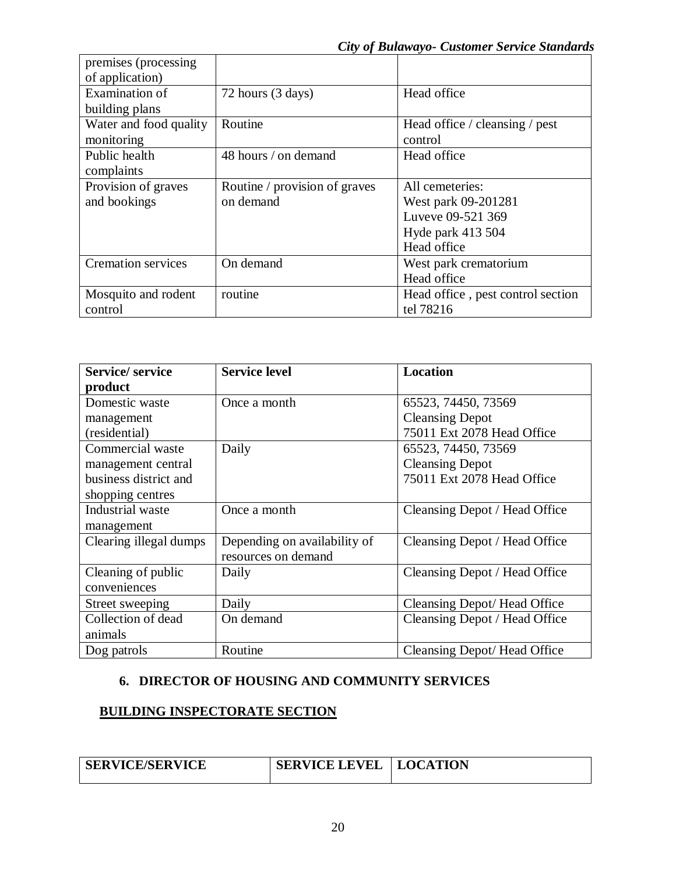| premises (processing      |                               |                                   |
|---------------------------|-------------------------------|-----------------------------------|
| of application)           |                               |                                   |
| Examination of            | 72 hours (3 days)             | Head office                       |
| building plans            |                               |                                   |
| Water and food quality    | Routine                       | Head office / cleansing / pest    |
| monitoring                |                               | control                           |
| Public health             | 48 hours / on demand          | Head office                       |
| complaints                |                               |                                   |
| Provision of graves       | Routine / provision of graves | All cemeteries:                   |
| and bookings              | on demand                     | West park 09-201281               |
|                           |                               | Luveve 09-521 369                 |
|                           |                               | Hyde park 413 504                 |
|                           |                               | Head office                       |
| <b>Cremation services</b> | On demand                     | West park crematorium             |
|                           |                               | Head office                       |
| Mosquito and rodent       | routine                       | Head office, pest control section |
| control                   |                               | tel 78216                         |

| <b>Service/service</b> | <b>Service level</b>         | <b>Location</b>               |
|------------------------|------------------------------|-------------------------------|
| product                |                              |                               |
| Domestic waste         | Once a month                 | 65523, 74450, 73569           |
| management             |                              | <b>Cleansing Depot</b>        |
| (residential)          |                              | 75011 Ext 2078 Head Office    |
| Commercial waste       | Daily                        | 65523, 74450, 73569           |
| management central     |                              | <b>Cleansing Depot</b>        |
| business district and  |                              | 75011 Ext 2078 Head Office    |
| shopping centres       |                              |                               |
| Industrial waste       | Once a month                 | Cleansing Depot / Head Office |
| management             |                              |                               |
| Clearing illegal dumps | Depending on availability of | Cleansing Depot / Head Office |
|                        | resources on demand          |                               |
| Cleaning of public     | Daily                        | Cleansing Depot / Head Office |
| conveniences           |                              |                               |
| Street sweeping        | Daily                        | Cleansing Depot/Head Office   |
| Collection of dead     | On demand                    | Cleansing Depot / Head Office |
| animals                |                              |                               |
| Dog patrols            | Routine                      | Cleansing Depot/Head Office   |

## **6. DIRECTOR OF HOUSING AND COMMUNITY SERVICES**

## **BUILDING INSPECTORATE SECTION**

| <b>SERVICE/SERVICE</b> | <b>SERVICE LEVEL   LOCATION</b> |  |
|------------------------|---------------------------------|--|
|                        |                                 |  |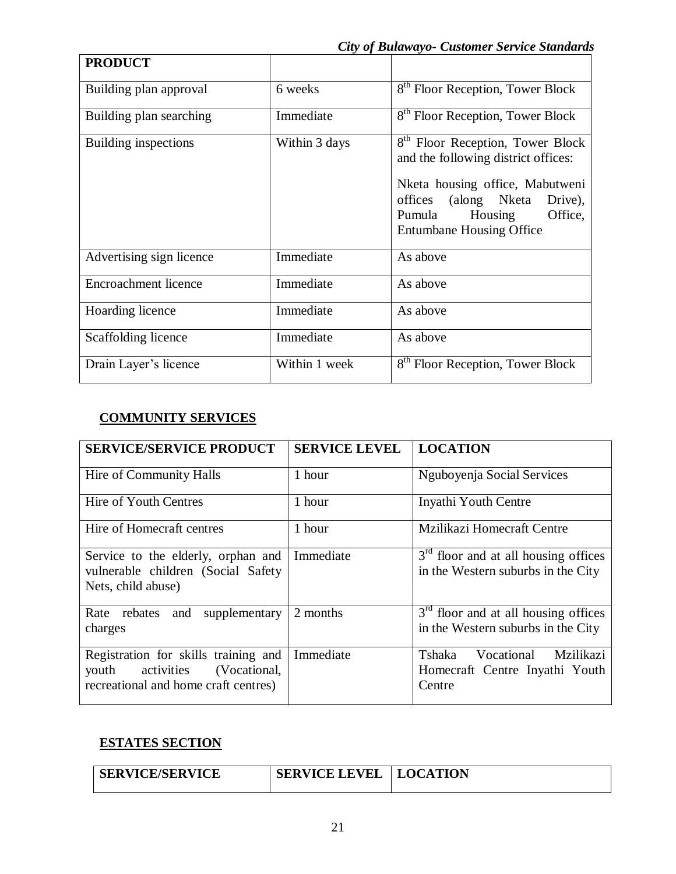| <b>PRODUCT</b>              |               |                                                                                                                                                                                                                           |
|-----------------------------|---------------|---------------------------------------------------------------------------------------------------------------------------------------------------------------------------------------------------------------------------|
| Building plan approval      | 6 weeks       | 8 <sup>th</sup> Floor Reception, Tower Block                                                                                                                                                                              |
| Building plan searching     | Immediate     | 8 <sup>th</sup> Floor Reception, Tower Block                                                                                                                                                                              |
| Building inspections        | Within 3 days | 8 <sup>th</sup> Floor Reception, Tower Block<br>and the following district offices:<br>Nketa housing office, Mabutweni<br>offices (along Nketa<br>Drive),<br>Office,<br>Pumula Housing<br><b>Entumbane Housing Office</b> |
| Advertising sign licence    | Immediate     | As above                                                                                                                                                                                                                  |
| <b>Encroachment licence</b> | Immediate     | As above                                                                                                                                                                                                                  |
| Hoarding licence            | Immediate     | As above                                                                                                                                                                                                                  |
| Scaffolding licence         | Immediate     | As above                                                                                                                                                                                                                  |
| Drain Layer's licence       | Within 1 week | 8 <sup>th</sup> Floor Reception, Tower Block                                                                                                                                                                              |

# **COMMUNITY SERVICES**

| <b>SERVICE/SERVICE PRODUCT</b>                                                                                   | <b>SERVICE LEVEL</b> | <b>LOCATION</b>                                                                      |
|------------------------------------------------------------------------------------------------------------------|----------------------|--------------------------------------------------------------------------------------|
| Hire of Community Halls                                                                                          | 1 hour               | Nguboyenja Social Services                                                           |
| Hire of Youth Centres                                                                                            | 1 hour               | Inyathi Youth Centre                                                                 |
| Hire of Homecraft centres                                                                                        | 1 hour               | Mzilikazi Homecraft Centre                                                           |
| Service to the elderly, orphan and<br>vulnerable children (Social Safety<br>Nets, child abuse)                   | Immediate            | $3rd$ floor and at all housing offices<br>in the Western suburbs in the City         |
| supplementary<br>and<br>Rate rebates<br>charges                                                                  | 2 months             | $3rd$ floor and at all housing offices<br>in the Western suburbs in the City         |
| Registration for skills training and<br>youth activities<br>(Vocational,<br>recreational and home craft centres) | Immediate            | Vocational<br><b>Mzilikazi</b><br>Tshaka<br>Homecraft Centre Inyathi Youth<br>Centre |

# **ESTATES SECTION**

| <b>SERVICE/SERVICE</b> | <b>SERVICE LEVEL</b> | <b>LOCATION</b> |
|------------------------|----------------------|-----------------|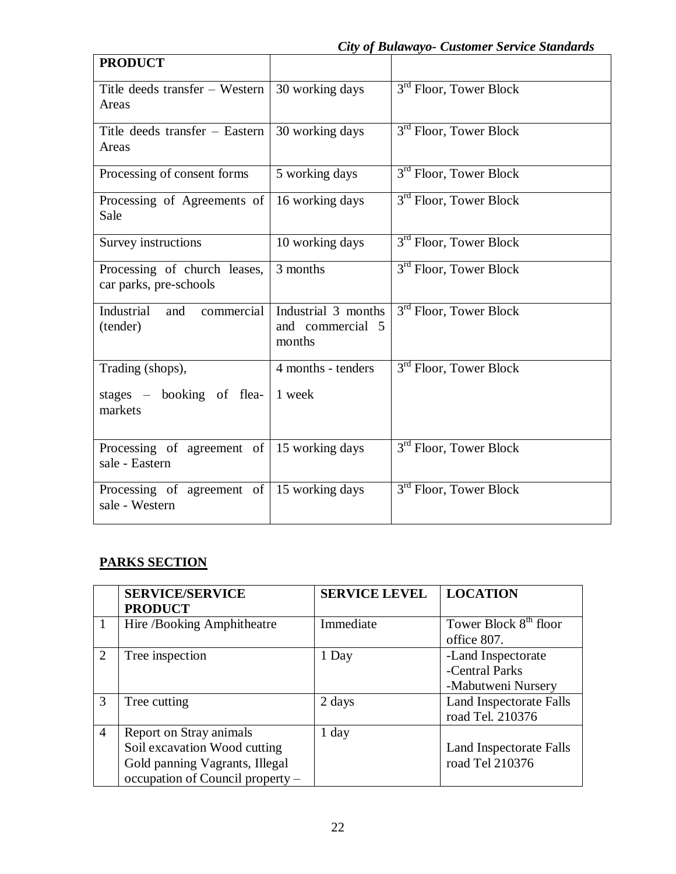| <b>PRODUCT</b>                                                       |                                                   |                                    |
|----------------------------------------------------------------------|---------------------------------------------------|------------------------------------|
| Title deeds transfer – Western $\vert$ 30 working days<br>Areas      |                                                   | 3 <sup>rd</sup> Floor, Tower Block |
| Title deeds transfer – Eastern<br>Areas                              | 30 working days                                   | 3 <sup>rd</sup> Floor, Tower Block |
| Processing of consent forms                                          | 5 working days                                    | 3 <sup>rd</sup> Floor, Tower Block |
| Processing of Agreements of<br>Sale                                  | 16 working days                                   | 3 <sup>rd</sup> Floor, Tower Block |
| Survey instructions                                                  | 10 working days                                   | 3 <sup>rd</sup> Floor, Tower Block |
| Processing of church leases,<br>car parks, pre-schools               | 3 months                                          | 3 <sup>rd</sup> Floor, Tower Block |
| Industrial<br>commercial<br>and<br>(tender)                          | Industrial 3 months<br>and commercial 5<br>months | 3 <sup>rd</sup> Floor, Tower Block |
| Trading (shops),                                                     | 4 months - tenders                                | 3 <sup>rd</sup> Floor, Tower Block |
| stages $-$ booking of flea-<br>markets                               | 1 week                                            |                                    |
| Processing of agreement of $\vert$ 15 working days<br>sale - Eastern |                                                   | 3 <sup>rd</sup> Floor, Tower Block |
| Processing of agreement of $\vert$ 15 working days<br>sale - Western |                                                   | 3 <sup>rd</sup> Floor, Tower Block |

# **PARKS SECTION**

|                       | <b>SERVICE/SERVICE</b><br><b>PRODUCT</b>                                                                                      | <b>SERVICE LEVEL</b> | <b>LOCATION</b>                                            |
|-----------------------|-------------------------------------------------------------------------------------------------------------------------------|----------------------|------------------------------------------------------------|
|                       | Hire /Booking Amphitheatre                                                                                                    | Immediate            | Tower Block 8 <sup>th</sup> floor<br>office 807.           |
| $\mathcal{D}_{\cdot}$ | Tree inspection                                                                                                               | 1 Day                | -Land Inspectorate<br>-Central Parks<br>-Mabutweni Nursery |
| $\mathcal{R}$         | Tree cutting                                                                                                                  | 2 days               | <b>Land Inspectorate Falls</b><br>road Tel. 210376         |
| $\overline{4}$        | Report on Stray animals<br>Soil excavation Wood cutting<br>Gold panning Vagrants, Illegal<br>occupation of Council property - | 1 day                | Land Inspectorate Falls<br>road Tel 210376                 |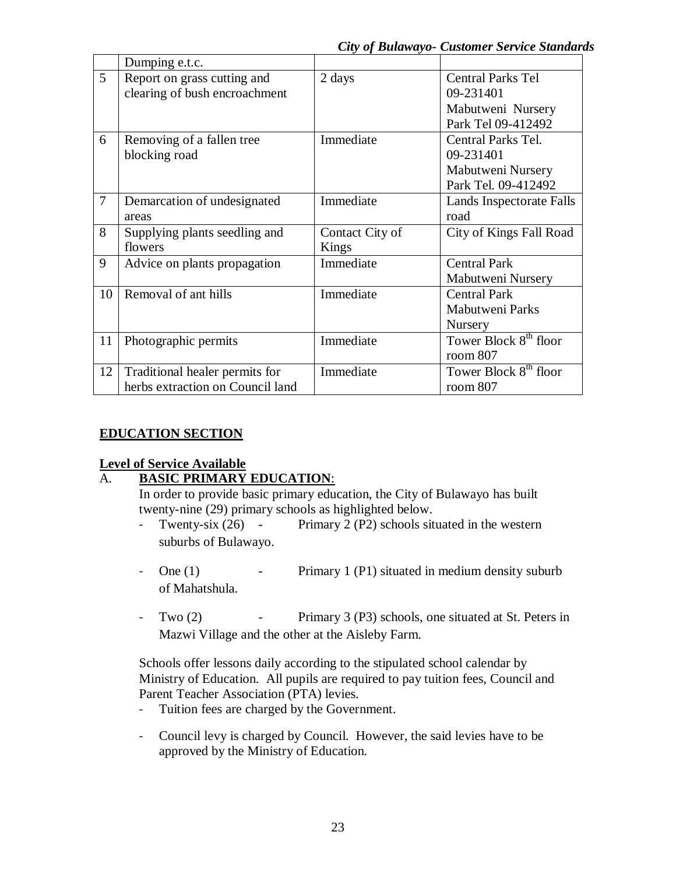*City of Bulawayo- Customer Service Standards* 

|                | Dumping e.t.c.                                                     |                          |                                                                                  |
|----------------|--------------------------------------------------------------------|--------------------------|----------------------------------------------------------------------------------|
| 5              | Report on grass cutting and<br>clearing of bush encroachment       | 2 days                   | <b>Central Parks Tel</b><br>09-231401<br>Mabutweni Nursery<br>Park Tel 09-412492 |
| 6              | Removing of a fallen tree<br>blocking road                         | Immediate                | Central Parks Tel.<br>09-231401<br>Mabutweni Nursery<br>Park Tel. 09-412492      |
| $\overline{7}$ | Demarcation of undesignated<br>areas                               | Immediate                | Lands Inspectorate Falls<br>road                                                 |
| 8              | Supplying plants seedling and<br>flowers                           | Contact City of<br>Kings | City of Kings Fall Road                                                          |
| 9              | Advice on plants propagation                                       | Immediate                | <b>Central Park</b><br>Mabutweni Nursery                                         |
| 10             | Removal of ant hills                                               | Immediate                | <b>Central Park</b><br><b>Mabutweni Parks</b><br>Nursery                         |
| 11             | Photographic permits                                               | Immediate                | Tower Block 8 <sup>th</sup> floor<br>room 807                                    |
| 12             | Traditional healer permits for<br>herbs extraction on Council land | Immediate                | Tower Block 8 <sup>th</sup> floor<br>room $807$                                  |

# **EDUCATION SECTION**

## **Level of Service Available**

# A. **BASIC PRIMARY EDUCATION**:

In order to provide basic primary education, the City of Bulawayo has built twenty-nine (29) primary schools as highlighted below.

- Twenty-six (26) Primary 2 (P2) schools situated in the western suburbs of Bulawayo.
- One (1) Primary 1 (P1) situated in medium density suburb of Mahatshula.
- Two (2) Primary 3 (P3) schools, one situated at St. Peters in Mazwi Village and the other at the Aisleby Farm.

Schools offer lessons daily according to the stipulated school calendar by Ministry of Education. All pupils are required to pay tuition fees, Council and Parent Teacher Association (PTA) levies.

- Tuition fees are charged by the Government.
- Council levy is charged by Council. However, the said levies have to be approved by the Ministry of Education.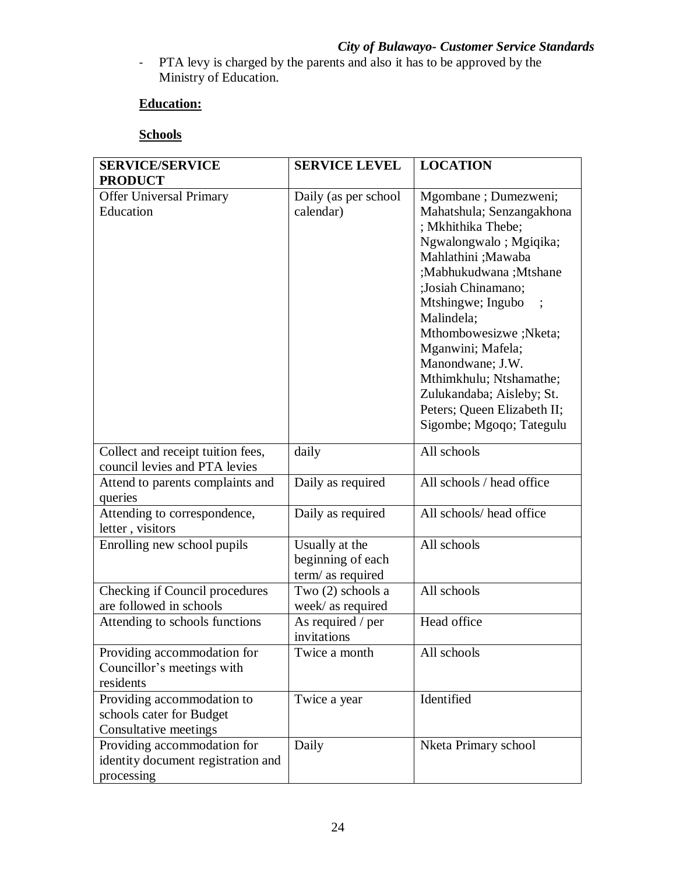- PTA levy is charged by the parents and also it has to be approved by the Ministry of Education.

## **Education:**

## **Schools**

| <b>SERVICE/SERVICE</b><br><b>PRODUCT</b>                                        | <b>SERVICE LEVEL</b>                                     | <b>LOCATION</b>                                                                                                                                                                                                                                                                                                                                                                                  |
|---------------------------------------------------------------------------------|----------------------------------------------------------|--------------------------------------------------------------------------------------------------------------------------------------------------------------------------------------------------------------------------------------------------------------------------------------------------------------------------------------------------------------------------------------------------|
| <b>Offer Universal Primary</b><br>Education                                     | Daily (as per school<br>calendar)                        | Mgombane; Dumezweni;<br>Mahatshula; Senzangakhona<br>; Mkhithika Thebe;<br>Ngwalongwalo; Mgiqika;<br>Mahlathini ;Mawaba<br>;Mabhukudwana ;Mtshane<br>;Josiah Chinamano;<br>Mtshingwe; Ingubo<br>Malindela;<br>Mthombowesizwe ;Nketa;<br>Mganwini; Mafela;<br>Manondwane; J.W.<br>Mthimkhulu; Ntshamathe;<br>Zulukandaba; Aisleby; St.<br>Peters; Queen Elizabeth II;<br>Sigombe; Mgoqo; Tategulu |
| Collect and receipt tuition fees,<br>council levies and PTA levies              | daily                                                    | All schools                                                                                                                                                                                                                                                                                                                                                                                      |
| Attend to parents complaints and<br>queries                                     | Daily as required                                        | All schools / head office                                                                                                                                                                                                                                                                                                                                                                        |
| Attending to correspondence,<br>letter, visitors                                | Daily as required                                        | All schools/ head office                                                                                                                                                                                                                                                                                                                                                                         |
| Enrolling new school pupils                                                     | Usually at the<br>beginning of each<br>term/ as required | All schools                                                                                                                                                                                                                                                                                                                                                                                      |
| Checking if Council procedures<br>are followed in schools                       | Two (2) schools a<br>week/ as required                   | All schools                                                                                                                                                                                                                                                                                                                                                                                      |
| Attending to schools functions                                                  | As required / per<br>invitations                         | Head office                                                                                                                                                                                                                                                                                                                                                                                      |
| Providing accommodation for<br>Councillor's meetings with<br>residents          | Twice a month                                            | All schools                                                                                                                                                                                                                                                                                                                                                                                      |
| Providing accommodation to<br>schools cater for Budget<br>Consultative meetings | Twice a year                                             | Identified                                                                                                                                                                                                                                                                                                                                                                                       |
| Providing accommodation for<br>identity document registration and<br>processing | Daily                                                    | Nketa Primary school                                                                                                                                                                                                                                                                                                                                                                             |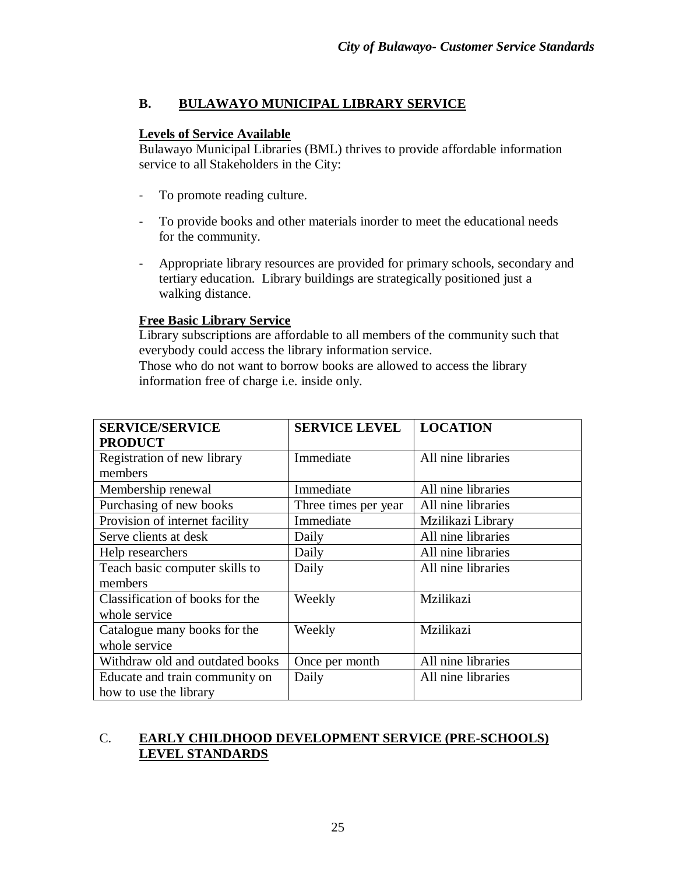## **B. BULAWAYO MUNICIPAL LIBRARY SERVICE**

#### **Levels of Service Available**

Bulawayo Municipal Libraries (BML) thrives to provide affordable information service to all Stakeholders in the City:

- To promote reading culture.
- To provide books and other materials inorder to meet the educational needs for the community.
- Appropriate library resources are provided for primary schools, secondary and tertiary education. Library buildings are strategically positioned just a walking distance.

#### **Free Basic Library Service**

Library subscriptions are affordable to all members of the community such that everybody could access the library information service. Those who do not want to borrow books are allowed to access the library

information free of charge i.e. inside only.

| <b>SERVICE/SERVICE</b><br><b>PRODUCT</b>                 | <b>SERVICE LEVEL</b> | <b>LOCATION</b>    |
|----------------------------------------------------------|----------------------|--------------------|
| Registration of new library<br>members                   | Immediate            | All nine libraries |
| Membership renewal                                       | Immediate            | All nine libraries |
| Purchasing of new books                                  | Three times per year | All nine libraries |
| Provision of internet facility                           | Immediate            | Mzilikazi Library  |
| Serve clients at desk                                    | Daily                | All nine libraries |
| Help researchers                                         | Daily                | All nine libraries |
| Teach basic computer skills to<br>members                | Daily                | All nine libraries |
| Classification of books for the<br>whole service         | Weekly               | Mzilikazi          |
| Catalogue many books for the<br>whole service            | Weekly               | Mzilikazi          |
| Withdraw old and outdated books                          | Once per month       | All nine libraries |
| Educate and train community on<br>how to use the library | Daily                | All nine libraries |

## C. **EARLY CHILDHOOD DEVELOPMENT SERVICE (PRE-SCHOOLS) LEVEL STANDARDS**